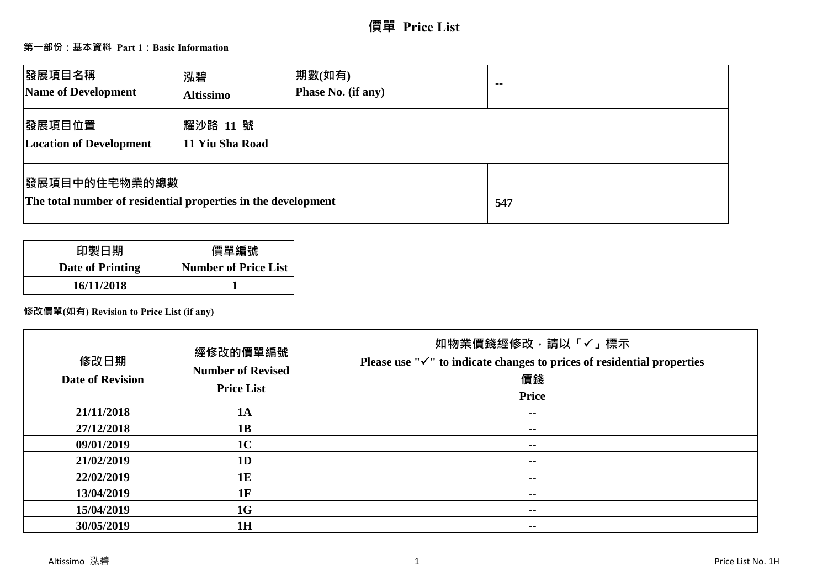# **第一部份:基本資料 Part 1:Basic Information**

| <b> 發展項目名稱</b><br>Name of Development                                                  | 泓碧<br><b>Altissimo</b>      | 期數(如有)<br>Phase No. (if any) | $\sim$ $\sim$ |
|----------------------------------------------------------------------------------------|-----------------------------|------------------------------|---------------|
| 發展項目位置<br><b>Location of Development</b>                                               | 耀沙路 11 號<br>11 Yiu Sha Road |                              |               |
| <b> 發展項目中的住宅物業的總數</b><br>The total number of residential properties in the development |                             |                              | 547           |

| 印製日期             | 價單編號                        |
|------------------|-----------------------------|
| Date of Printing | <b>Number of Price List</b> |
| 16/11/2018       |                             |

**修改價單(如有) Revision to Price List (if any)**

| 修改日期<br><b>Date of Revision</b> | 經修改的價單編號<br><b>Number of Revised</b><br><b>Price List</b> | 如物業價錢經修改,請以「√」標示<br>Please use " $\checkmark$ " to indicate changes to prices of residential properties<br>價錢<br>Price |
|---------------------------------|-----------------------------------------------------------|------------------------------------------------------------------------------------------------------------------------|
| 21/11/2018                      | 1A                                                        | $\sim$ $\sim$                                                                                                          |
| 27/12/2018                      | 1B                                                        | $\sim$                                                                                                                 |
| 09/01/2019                      | 1 <sub>C</sub>                                            | $\sim$ $\sim$                                                                                                          |
| 21/02/2019                      | 1 <sub>D</sub>                                            | --                                                                                                                     |
| 22/02/2019                      | 1E                                                        | --                                                                                                                     |
| 13/04/2019                      | 1F                                                        | --                                                                                                                     |
| 15/04/2019                      | 1G                                                        | $\sim$ $\sim$                                                                                                          |
| 30/05/2019                      | 1H                                                        | $\sim$ $-$                                                                                                             |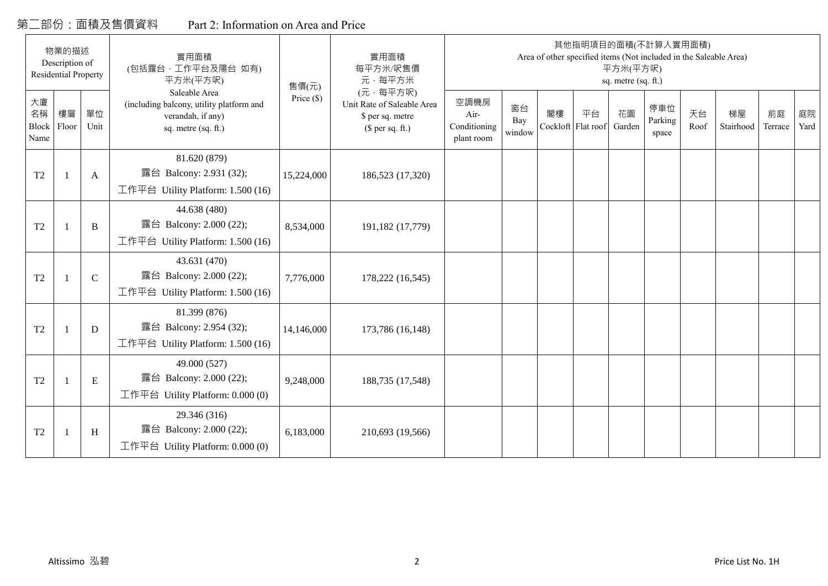# 第二部份:面積及售價資料 Part 2: Information on Area and Price

|                                  | 物業的描述<br>Description of<br><b>Residential Property</b> |              | 實用面積<br>(包括露台·工作平台及陽台 如有)<br>平方米(平方呎)                                                                 | 售價(元)      | 實用面積<br>每平方米/呎售價<br>元·每平方米                                                     |                                            |                     |                          |    | 平方米(平方呎)<br>sq. metre (sq. ft.) | 其他指明項目的面積(不計算入實用面積)<br>Area of other specified items (Not included in the Saleable Area) |            |                 |               |            |
|----------------------------------|--------------------------------------------------------|--------------|-------------------------------------------------------------------------------------------------------|------------|--------------------------------------------------------------------------------|--------------------------------------------|---------------------|--------------------------|----|---------------------------------|------------------------------------------------------------------------------------------|------------|-----------------|---------------|------------|
| 大廈<br>名稱<br><b>Block</b><br>Name | 樓層<br>Floor                                            | 單位<br>Unit   | Saleable Area<br>(including balcony, utility platform and<br>verandah, if any)<br>sq. metre (sq. ft.) | Price (\$) | (元·每平方呎)<br>Unit Rate of Saleable Area<br>\$ per sq. metre<br>$$$ per sq. ft.) | 空調機房<br>Air-<br>Conditioning<br>plant room | 窗台<br>Bay<br>window | 閣樓<br>Cockloft Flat roof | 平台 | 花園<br>Garden                    | 停車位<br>Parking<br>space                                                                  | 天台<br>Roof | 梯屋<br>Stairhood | 前庭<br>Terrace | 庭院<br>Yard |
| T <sub>2</sub>                   |                                                        | A            | 81.620 (879)<br>露台 Balcony: 2.931 (32);<br>工作平台 Utility Platform: $1.500(16)$                         | 15,224,000 | 186,523 (17,320)                                                               |                                            |                     |                          |    |                                 |                                                                                          |            |                 |               |            |
| T <sub>2</sub>                   |                                                        | $\, {\bf B}$ | 44.638 (480)<br>露台 Balcony: 2.000 (22);<br>工作平台 Utility Platform: 1.500 (16)                          | 8,534,000  | 191,182 (17,779)                                                               |                                            |                     |                          |    |                                 |                                                                                          |            |                 |               |            |
| T <sub>2</sub>                   |                                                        | $\mathbf C$  | 43.631 (470)<br>露台 Balcony: 2.000 (22);<br>工作平台 Utility Platform: 1.500 (16)                          | 7,776,000  | 178,222 (16,545)                                                               |                                            |                     |                          |    |                                 |                                                                                          |            |                 |               |            |
| T <sub>2</sub>                   | -1                                                     | D            | 81.399 (876)<br>露台 Balcony: 2.954 (32);<br>工作平台 Utility Platform: 1.500 (16)                          | 14,146,000 | 173,786 (16,148)                                                               |                                            |                     |                          |    |                                 |                                                                                          |            |                 |               |            |
| T <sub>2</sub>                   | 1                                                      | E            | 49.000 (527)<br>露台 Balcony: 2.000 (22);<br>工作平台 Utility Platform: 0.000 (0)                           | 9,248,000  | 188,735 (17,548)                                                               |                                            |                     |                          |    |                                 |                                                                                          |            |                 |               |            |
| T <sub>2</sub>                   |                                                        | H            | 29.346 (316)<br>露台 Balcony: 2.000 (22);<br>工作平台 Utility Platform: 0.000 (0)                           | 6,183,000  | 210,693 (19,566)                                                               |                                            |                     |                          |    |                                 |                                                                                          |            |                 |               |            |

 $\Gamma$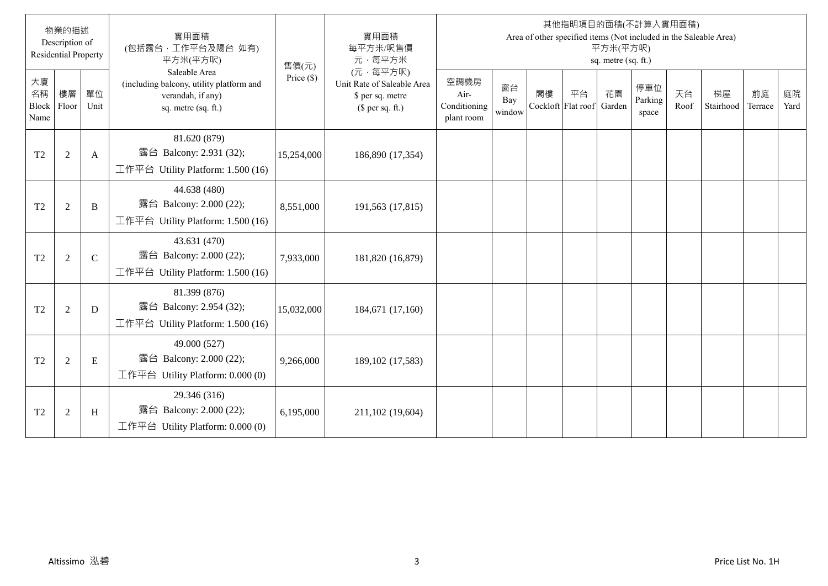|                                  | 物業的描述<br>Description of<br><b>Residential Property</b> |               | 實用面積<br>(包括露台,工作平台及陽台 如有)<br>平方米(平方呎)                                                                 | 售價(元)        | 實用面積<br>每平方米/呎售價<br>元·每平方米                                                     |                                            |                     |    |                                 | 平方米(平方呎)<br>sq. metre (sq. ft.) | 其他指明項目的面積(不計算入實用面積)     |            | Area of other specified items (Not included in the Saleable Area) |               |            |
|----------------------------------|--------------------------------------------------------|---------------|-------------------------------------------------------------------------------------------------------|--------------|--------------------------------------------------------------------------------|--------------------------------------------|---------------------|----|---------------------------------|---------------------------------|-------------------------|------------|-------------------------------------------------------------------|---------------|------------|
| 大廈<br>名稱<br><b>Block</b><br>Name | 樓層<br>Floor                                            | 單位<br>Unit    | Saleable Area<br>(including balcony, utility platform and<br>verandah, if any)<br>sq. metre (sq. ft.) | Price $(\$)$ | (元·每平方呎)<br>Unit Rate of Saleable Area<br>\$ per sq. metre<br>$$$ per sq. ft.) | 空調機房<br>Air-<br>Conditioning<br>plant room | 窗台<br>Bay<br>window | 閣樓 | 平台<br>Cockloft Flat roof Garden | 花園                              | 停車位<br>Parking<br>space | 天台<br>Roof | 梯屋<br>Stairhood                                                   | 前庭<br>Terrace | 庭院<br>Yard |
| T <sub>2</sub>                   | $\overline{2}$                                         | A             | 81.620 (879)<br>露台 Balcony: 2.931 (32);<br>工作平台 Utility Platform: 1.500 (16)                          | 15,254,000   | 186,890 (17,354)                                                               |                                            |                     |    |                                 |                                 |                         |            |                                                                   |               |            |
| T <sub>2</sub>                   | $\overline{2}$                                         | B             | 44.638 (480)<br>露台 Balcony: 2.000 (22);<br>工作平台 Utility Platform: 1.500 (16)                          | 8,551,000    | 191,563 (17,815)                                                               |                                            |                     |    |                                 |                                 |                         |            |                                                                   |               |            |
| T <sub>2</sub>                   | $\overline{2}$                                         | $\mathcal{C}$ | 43.631 (470)<br>露台 Balcony: 2.000 (22);<br>工作平台 Utility Platform: $1.500(16)$                         | 7,933,000    | 181,820 (16,879)                                                               |                                            |                     |    |                                 |                                 |                         |            |                                                                   |               |            |
| T2                               | $\overline{2}$                                         | D             | 81.399 (876)<br>露台 Balcony: 2.954 (32);<br>工作平台 Utility Platform: $1.500(16)$                         | 15,032,000   | 184,671 (17,160)                                                               |                                            |                     |    |                                 |                                 |                         |            |                                                                   |               |            |
| T <sub>2</sub>                   | $\overline{2}$                                         | E             | 49.000 (527)<br>露台 Balcony: 2.000 (22);<br>工作平台 Utility Platform: $0.000(0)$                          | 9,266,000    | 189, 102 (17, 583)                                                             |                                            |                     |    |                                 |                                 |                         |            |                                                                   |               |            |
| T <sub>2</sub>                   | $\overline{2}$                                         | H             | 29.346 (316)<br>露台 Balcony: 2.000 (22);<br>工作平台 Utility Platform: $0.000(0)$                          | 6,195,000    | 211,102 (19,604)                                                               |                                            |                     |    |                                 |                                 |                         |            |                                                                   |               |            |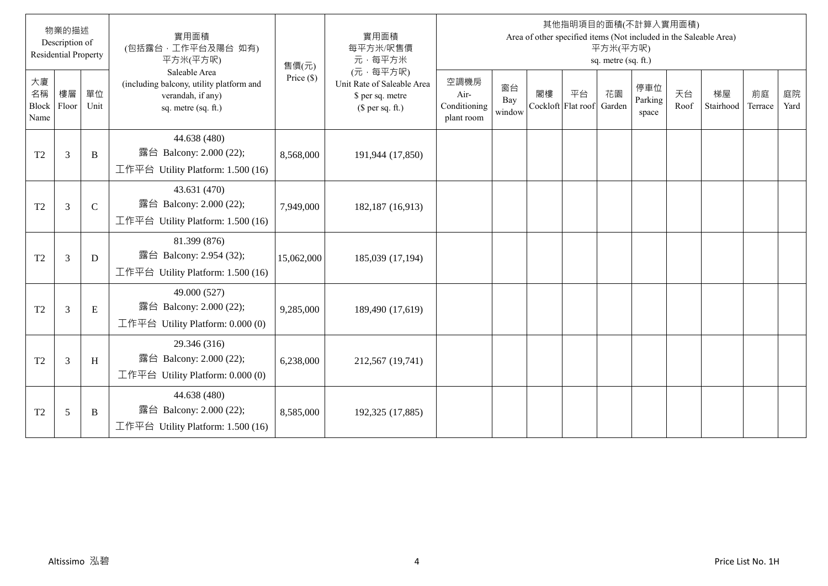|                           | 物業的描述<br>Description of<br><b>Residential Property</b> |               | 實用面積<br>(包括露台,工作平台及陽台 如有)<br>平方米(平方呎)                                                                 | 售價(元)        | 實用面積<br>每平方米/呎售價<br>元·每平方米                                                     |                                            |                     |    |                                 | 平方米(平方呎)<br>sq. metre (sq. ft.) | 其他指明項目的面積(不計算入實用面積)     |            | Area of other specified items (Not included in the Saleable Area) |               |            |
|---------------------------|--------------------------------------------------------|---------------|-------------------------------------------------------------------------------------------------------|--------------|--------------------------------------------------------------------------------|--------------------------------------------|---------------------|----|---------------------------------|---------------------------------|-------------------------|------------|-------------------------------------------------------------------|---------------|------------|
| 大廈<br>名稱<br>Block<br>Name | 樓層<br>Floor                                            | 單位<br>Unit    | Saleable Area<br>(including balcony, utility platform and<br>verandah, if any)<br>sq. metre (sq. ft.) | Price $(\$)$ | (元·每平方呎)<br>Unit Rate of Saleable Area<br>\$ per sq. metre<br>$$$ per sq. ft.) | 空調機房<br>Air-<br>Conditioning<br>plant room | 窗台<br>Bay<br>window | 閣樓 | 平台<br>Cockloft Flat roof Garden | 花園                              | 停車位<br>Parking<br>space | 天台<br>Roof | 梯屋<br>Stairhood                                                   | 前庭<br>Terrace | 庭院<br>Yard |
| T <sub>2</sub>            | 3                                                      | B             | 44.638 (480)<br>露台 Balcony: 2.000 (22);<br>工作平台 Utility Platform: 1.500 (16)                          | 8,568,000    | 191,944 (17,850)                                                               |                                            |                     |    |                                 |                                 |                         |            |                                                                   |               |            |
| T <sub>2</sub>            | $\overline{3}$                                         | $\mathcal{C}$ | 43.631 (470)<br>露台 Balcony: 2.000 (22);<br>工作平台 Utility Platform: 1.500 (16)                          | 7,949,000    | 182,187 (16,913)                                                               |                                            |                     |    |                                 |                                 |                         |            |                                                                   |               |            |
| T <sub>2</sub>            | $\mathfrak{Z}$                                         | D             | 81.399 (876)<br>露台 Balcony: 2.954 (32);<br>工作平台 Utility Platform: $1.500(16)$                         | 15,062,000   | 185,039 (17,194)                                                               |                                            |                     |    |                                 |                                 |                         |            |                                                                   |               |            |
| T <sub>2</sub>            | $\mathfrak{Z}$                                         | E             | 49.000 (527)<br>露台 Balcony: 2.000 (22);<br>工作平台 Utility Platform: $0.000(0)$                          | 9,285,000    | 189,490 (17,619)                                                               |                                            |                     |    |                                 |                                 |                         |            |                                                                   |               |            |
| T <sub>2</sub>            | $\mathfrak{Z}$                                         | H             | 29.346 (316)<br>露台 Balcony: 2.000 (22);<br>工作平台 Utility Platform: 0.000 (0)                           | 6,238,000    | 212,567 (19,741)                                                               |                                            |                     |    |                                 |                                 |                         |            |                                                                   |               |            |
| T <sub>2</sub>            | 5                                                      | B             | 44.638 (480)<br>露台 Balcony: 2.000 (22);<br>工作平台 Utility Platform: $1.500(16)$                         | 8,585,000    | 192,325 (17,885)                                                               |                                            |                     |    |                                 |                                 |                         |            |                                                                   |               |            |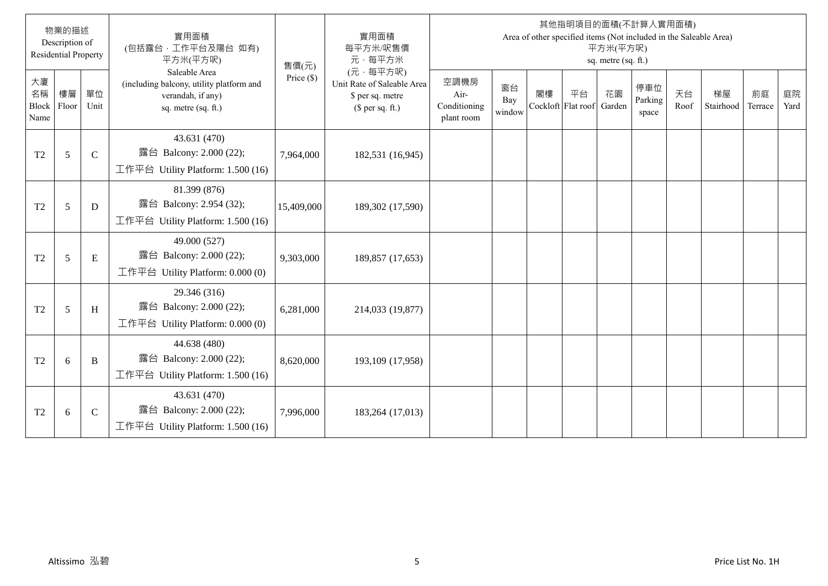|                           | 物業的描述<br>Description of<br><b>Residential Property</b> |              | 實用面積<br>(包括露台,工作平台及陽台 如有)<br>平方米(平方呎)                                                                 | 售價(元)        | 實用面積<br>每平方米/呎售價<br>元·每平方米                                                     |                                            |                     |    | 其他指明項目的面積(不計算入實用面積)<br>Area of other specified items (Not included in the Saleable Area) | 平方米(平方呎)<br>sq. metre (sq. ft.) |                         |            |                 |               |            |
|---------------------------|--------------------------------------------------------|--------------|-------------------------------------------------------------------------------------------------------|--------------|--------------------------------------------------------------------------------|--------------------------------------------|---------------------|----|------------------------------------------------------------------------------------------|---------------------------------|-------------------------|------------|-----------------|---------------|------------|
| 大廈<br>名稱<br>Block<br>Name | 樓層<br>Floor                                            | 單位<br>Unit   | Saleable Area<br>(including balcony, utility platform and<br>verandah, if any)<br>sq. metre (sq. ft.) | Price $(\$)$ | (元·每平方呎)<br>Unit Rate of Saleable Area<br>\$ per sq. metre<br>(\$ per sq. ft.) | 空調機房<br>Air-<br>Conditioning<br>plant room | 窗台<br>Bay<br>window | 閣樓 | 平台<br>Cockloft Flat roof                                                                 | 花園<br>Garden                    | 停車位<br>Parking<br>space | 天台<br>Roof | 梯屋<br>Stairhood | 前庭<br>Terrace | 庭院<br>Yard |
| T <sub>2</sub>            | 5                                                      | $\mathsf{C}$ | 43.631 (470)<br>露台 Balcony: 2.000 (22);<br>工作平台 Utility Platform: $1.500(16)$                         | 7,964,000    | 182,531 (16,945)                                                               |                                            |                     |    |                                                                                          |                                 |                         |            |                 |               |            |
| T <sub>2</sub>            | 5                                                      | D            | 81.399 (876)<br>露台 Balcony: 2.954 (32);<br>工作平台 Utility Platform: $1.500(16)$                         | 15,409,000   | 189,302 (17,590)                                                               |                                            |                     |    |                                                                                          |                                 |                         |            |                 |               |            |
| T <sub>2</sub>            | 5                                                      | $\mathbf E$  | 49.000 (527)<br>露台 Balcony: 2.000 (22);<br>工作平台 Utility Platform: $0.000(0)$                          | 9,303,000    | 189,857 (17,653)                                                               |                                            |                     |    |                                                                                          |                                 |                         |            |                 |               |            |
| T <sub>2</sub>            | 5                                                      | H            | 29.346 (316)<br>露台 Balcony: 2.000 (22);<br>工作平台 Utility Platform: 0.000 (0)                           | 6,281,000    | 214,033 (19,877)                                                               |                                            |                     |    |                                                                                          |                                 |                         |            |                 |               |            |
| T <sub>2</sub>            | 6                                                      | B            | 44.638 (480)<br>露台 Balcony: 2.000 (22);<br>工作平台 Utility Platform: 1.500 (16)                          | 8,620,000    | 193,109 (17,958)                                                               |                                            |                     |    |                                                                                          |                                 |                         |            |                 |               |            |
| T <sub>2</sub>            | 6                                                      | $\mathsf{C}$ | 43.631 (470)<br>露台 Balcony: 2.000 (22);<br>工作平台 Utility Platform: 1.500 (16)                          | 7,996,000    | 183,264 (17,013)                                                               |                                            |                     |    |                                                                                          |                                 |                         |            |                 |               |            |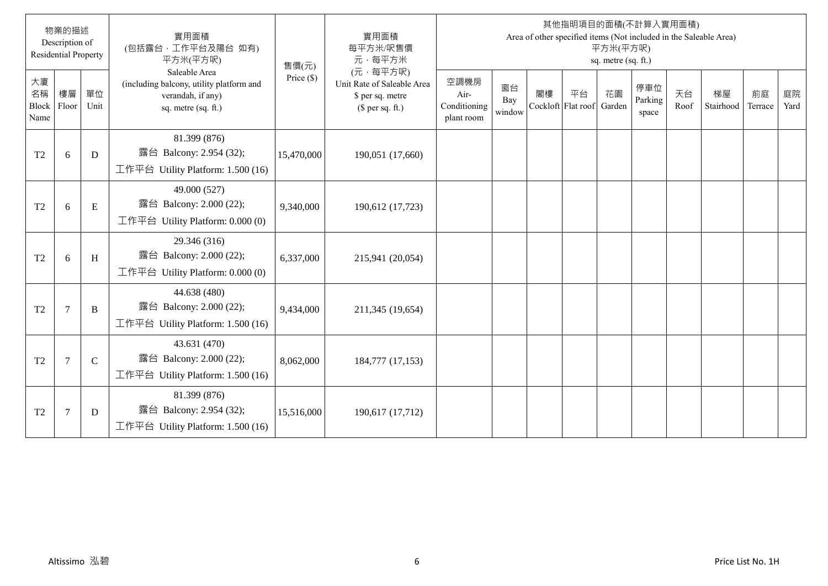|                           | 物業的描述<br>Description of<br><b>Residential Property</b> |               | 實用面積<br>(包括露台,工作平台及陽台 如有)<br>平方米(平方呎)                                                                 | 售價(元)        | 實用面積<br>每平方米/呎售價<br>元·每平方米                                                     |                                            |                     |    |                                 | 平方米(平方呎)<br>sq. metre (sq. ft.) | 其他指明項目的面積(不計算入實用面積)     |            | Area of other specified items (Not included in the Saleable Area) |               |            |
|---------------------------|--------------------------------------------------------|---------------|-------------------------------------------------------------------------------------------------------|--------------|--------------------------------------------------------------------------------|--------------------------------------------|---------------------|----|---------------------------------|---------------------------------|-------------------------|------------|-------------------------------------------------------------------|---------------|------------|
| 大廈<br>名稱<br>Block<br>Name | 樓層<br>Floor                                            | 單位<br>Unit    | Saleable Area<br>(including balcony, utility platform and<br>verandah, if any)<br>sq. metre (sq. ft.) | Price $(\$)$ | (元·每平方呎)<br>Unit Rate of Saleable Area<br>\$ per sq. metre<br>$$$ per sq. ft.) | 空調機房<br>Air-<br>Conditioning<br>plant room | 窗台<br>Bay<br>window | 閣樓 | 平台<br>Cockloft Flat roof Garden | 花園                              | 停車位<br>Parking<br>space | 天台<br>Roof | 梯屋<br>Stairhood                                                   | 前庭<br>Terrace | 庭院<br>Yard |
| T <sub>2</sub>            | 6                                                      | D             | 81.399 (876)<br>露台 Balcony: 2.954 (32);<br>工作平台 Utility Platform: 1.500 (16)                          | 15,470,000   | 190,051 (17,660)                                                               |                                            |                     |    |                                 |                                 |                         |            |                                                                   |               |            |
| T <sub>2</sub>            | 6                                                      | E             | 49.000 (527)<br>露台 Balcony: 2.000 (22);<br>工作平台 Utility Platform: $0.000(0)$                          | 9,340,000    | 190,612 (17,723)                                                               |                                            |                     |    |                                 |                                 |                         |            |                                                                   |               |            |
| T <sub>2</sub>            | 6                                                      | H             | 29.346 (316)<br>露台 Balcony: 2.000 (22);<br>工作平台 Utility Platform: $0.000(0)$                          | 6,337,000    | 215,941 (20,054)                                                               |                                            |                     |    |                                 |                                 |                         |            |                                                                   |               |            |
| T <sub>2</sub>            | $\overline{7}$                                         | B             | 44.638 (480)<br>露台 Balcony: 2.000 (22);<br>工作平台 Utility Platform: 1.500 (16)                          | 9,434,000    | 211,345 (19,654)                                                               |                                            |                     |    |                                 |                                 |                         |            |                                                                   |               |            |
| T <sub>2</sub>            | $7\phantom{.0}$                                        | $\mathcal{C}$ | 43.631 (470)<br>露台 Balcony: 2.000 (22);<br>工作平台 Utility Platform: $1.500(16)$                         | 8,062,000    | 184,777 (17,153)                                                               |                                            |                     |    |                                 |                                 |                         |            |                                                                   |               |            |
| T <sub>2</sub>            | $\overline{7}$                                         | D             | 81.399 (876)<br>露台 Balcony: 2.954 (32);<br>工作平台 Utility Platform: $1.500(16)$                         | 15,516,000   | 190,617 (17,712)                                                               |                                            |                     |    |                                 |                                 |                         |            |                                                                   |               |            |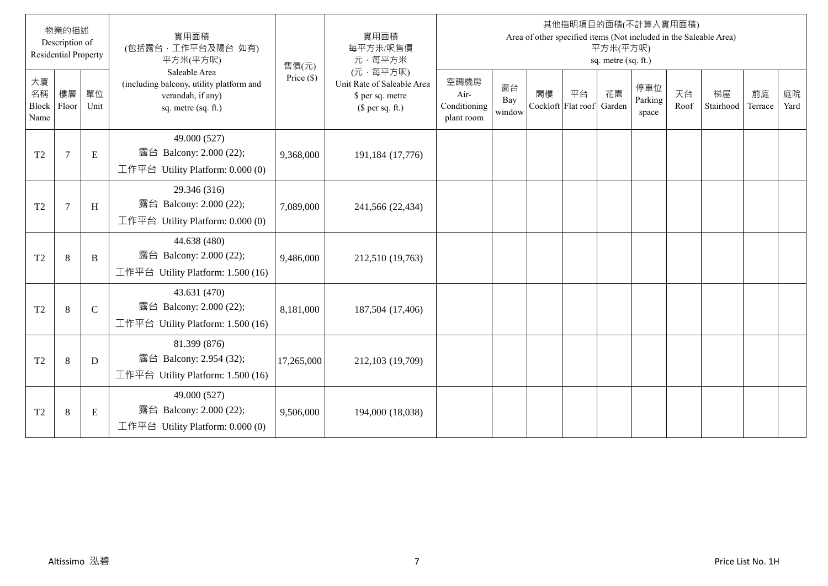|                           | 物業的描述<br>Description of<br><b>Residential Property</b> |               | 實用面積<br>(包括露台,工作平台及陽台 如有)<br>平方米(平方呎)                                                                 | 售價(元)        | 實用面積<br>每平方米/呎售價<br>元·每平方米                                                     |                                            |                     |    |                                 | 平方米(平方呎)<br>sq. metre (sq. ft.) | 其他指明項目的面積(不計算入實用面積)     |            | Area of other specified items (Not included in the Saleable Area) |               |            |
|---------------------------|--------------------------------------------------------|---------------|-------------------------------------------------------------------------------------------------------|--------------|--------------------------------------------------------------------------------|--------------------------------------------|---------------------|----|---------------------------------|---------------------------------|-------------------------|------------|-------------------------------------------------------------------|---------------|------------|
| 大廈<br>名稱<br>Block<br>Name | 樓層<br>Floor                                            | 單位<br>Unit    | Saleable Area<br>(including balcony, utility platform and<br>verandah, if any)<br>sq. metre (sq. ft.) | Price $(\$)$ | (元·每平方呎)<br>Unit Rate of Saleable Area<br>\$ per sq. metre<br>$$$ per sq. ft.) | 空調機房<br>Air-<br>Conditioning<br>plant room | 窗台<br>Bay<br>window | 閣樓 | 平台<br>Cockloft Flat roof Garden | 花園                              | 停車位<br>Parking<br>space | 天台<br>Roof | 梯屋<br>Stairhood                                                   | 前庭<br>Terrace | 庭院<br>Yard |
| T <sub>2</sub>            | $\overline{7}$                                         | E             | 49.000 (527)<br>露台 Balcony: 2.000 (22);<br>工作平台 Utility Platform: $0.000(0)$                          | 9,368,000    | 191,184 (17,776)                                                               |                                            |                     |    |                                 |                                 |                         |            |                                                                   |               |            |
| T <sub>2</sub>            | $\overline{7}$                                         | H             | 29.346 (316)<br>露台 Balcony: 2.000 (22);<br>工作平台 Utility Platform: $0.000(0)$                          | 7,089,000    | 241,566 (22,434)                                                               |                                            |                     |    |                                 |                                 |                         |            |                                                                   |               |            |
| T <sub>2</sub>            | 8                                                      | B             | 44.638 (480)<br>露台 Balcony: 2.000 (22);<br>工作平台 Utility Platform: 1.500 (16)                          | 9,486,000    | 212,510 (19,763)                                                               |                                            |                     |    |                                 |                                 |                         |            |                                                                   |               |            |
| T <sub>2</sub>            | 8                                                      | $\mathcal{C}$ | 43.631 (470)<br>露台 Balcony: 2.000 (22);<br>工作平台 Utility Platform: 1.500 (16)                          | 8,181,000    | 187,504 (17,406)                                                               |                                            |                     |    |                                 |                                 |                         |            |                                                                   |               |            |
| T <sub>2</sub>            | $\,8\,$                                                | D             | 81.399 (876)<br>露台 Balcony: 2.954 (32);<br>工作平台 Utility Platform: $1.500(16)$                         | 17,265,000   | 212,103 (19,709)                                                               |                                            |                     |    |                                 |                                 |                         |            |                                                                   |               |            |
| T <sub>2</sub>            | $\,8\,$                                                | ${\bf E}$     | 49.000 (527)<br>露台 Balcony: 2.000 (22);<br>工作平台 Utility Platform: $0.000(0)$                          | 9,506,000    | 194,000 (18,038)                                                               |                                            |                     |    |                                 |                                 |                         |            |                                                                   |               |            |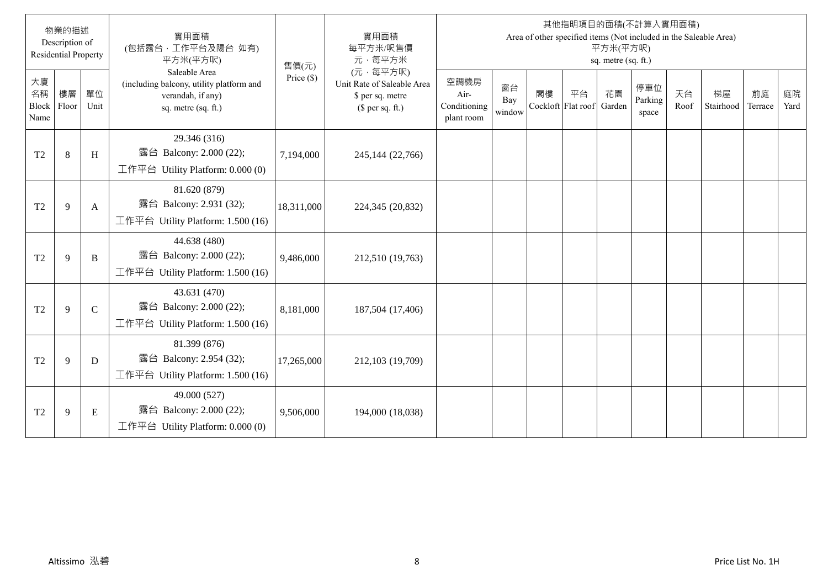|                           | 物業的描述<br>Description of<br><b>Residential Property</b> |               | 實用面積<br>(包括露台,工作平台及陽台 如有)<br>平方米(平方呎)                                                                 | 售價(元)        | 實用面積<br>每平方米/呎售價<br>元·每平方米                                                     |                                            |                     |    |                                 | 平方米(平方呎)<br>sq. metre (sq. ft.) | 其他指明項目的面積(不計算入實用面積)     |            | Area of other specified items (Not included in the Saleable Area) |               |            |
|---------------------------|--------------------------------------------------------|---------------|-------------------------------------------------------------------------------------------------------|--------------|--------------------------------------------------------------------------------|--------------------------------------------|---------------------|----|---------------------------------|---------------------------------|-------------------------|------------|-------------------------------------------------------------------|---------------|------------|
| 大廈<br>名稱<br>Block<br>Name | 樓層<br>Floor                                            | 單位<br>Unit    | Saleable Area<br>(including balcony, utility platform and<br>verandah, if any)<br>sq. metre (sq. ft.) | Price $(\$)$ | (元·每平方呎)<br>Unit Rate of Saleable Area<br>\$ per sq. metre<br>$$$ per sq. ft.) | 空調機房<br>Air-<br>Conditioning<br>plant room | 窗台<br>Bay<br>window | 閣樓 | 平台<br>Cockloft Flat roof Garden | 花園                              | 停車位<br>Parking<br>space | 天台<br>Roof | 梯屋<br>Stairhood                                                   | 前庭<br>Terrace | 庭院<br>Yard |
| T <sub>2</sub>            | $\,8\,$                                                | H             | 29.346 (316)<br>露台 Balcony: 2.000 (22);<br>工作平台 Utility Platform: $0.000(0)$                          | 7,194,000    | 245,144 (22,766)                                                               |                                            |                     |    |                                 |                                 |                         |            |                                                                   |               |            |
| T <sub>2</sub>            | 9                                                      | A             | 81.620 (879)<br>露台 Balcony: 2.931 (32);<br>工作平台 Utility Platform: 1.500 (16)                          | 18,311,000   | 224,345 (20,832)                                                               |                                            |                     |    |                                 |                                 |                         |            |                                                                   |               |            |
| T <sub>2</sub>            | 9                                                      | B             | 44.638 (480)<br>露台 Balcony: 2.000 (22);<br>工作平台 Utility Platform: 1.500 (16)                          | 9,486,000    | 212,510 (19,763)                                                               |                                            |                     |    |                                 |                                 |                         |            |                                                                   |               |            |
| T <sub>2</sub>            | 9                                                      | $\mathcal{C}$ | 43.631 (470)<br>露台 Balcony: 2.000 (22);<br>工作平台 Utility Platform: 1.500 (16)                          | 8,181,000    | 187,504 (17,406)                                                               |                                            |                     |    |                                 |                                 |                         |            |                                                                   |               |            |
| T <sub>2</sub>            | 9                                                      | D             | 81.399 (876)<br>露台 Balcony: 2.954 (32);<br>工作平台 Utility Platform: 1.500 (16)                          | 17,265,000   | 212,103 (19,709)                                                               |                                            |                     |    |                                 |                                 |                         |            |                                                                   |               |            |
| T <sub>2</sub>            | 9                                                      | ${\bf E}$     | 49.000 (527)<br>露台 Balcony: 2.000 (22);<br>工作平台 Utility Platform: $0.000(0)$                          | 9,506,000    | 194,000 (18,038)                                                               |                                            |                     |    |                                 |                                 |                         |            |                                                                   |               |            |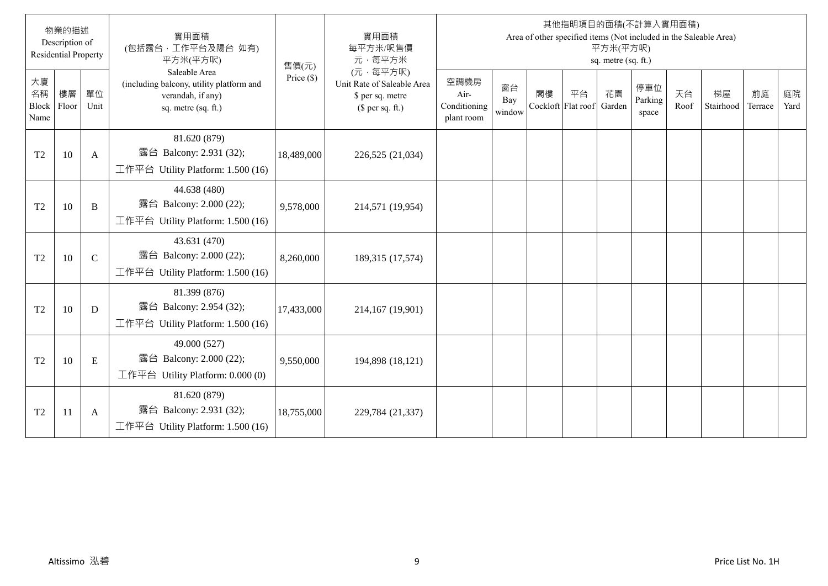|                           | 物業的描述<br>Description of<br><b>Residential Property</b> |               | 實用面積<br>(包括露台,工作平台及陽台 如有)<br>平方米(平方呎)                                                                 | 售價(元)        | 實用面積<br>每平方米/呎售價<br>元·每平方米                                                     |                                            |                     |    |                                 | 平方米(平方呎)<br>sq. metre (sq. ft.) | 其他指明項目的面積(不計算入實用面積)     |            | Area of other specified items (Not included in the Saleable Area) |               |            |
|---------------------------|--------------------------------------------------------|---------------|-------------------------------------------------------------------------------------------------------|--------------|--------------------------------------------------------------------------------|--------------------------------------------|---------------------|----|---------------------------------|---------------------------------|-------------------------|------------|-------------------------------------------------------------------|---------------|------------|
| 大廈<br>名稱<br>Block<br>Name | 樓層<br>Floor                                            | 單位<br>Unit    | Saleable Area<br>(including balcony, utility platform and<br>verandah, if any)<br>sq. metre (sq. ft.) | Price $(\$)$ | (元·每平方呎)<br>Unit Rate of Saleable Area<br>\$ per sq. metre<br>$$$ per sq. ft.) | 空調機房<br>Air-<br>Conditioning<br>plant room | 窗台<br>Bay<br>window | 閣樓 | 平台<br>Cockloft Flat roof Garden | 花園                              | 停車位<br>Parking<br>space | 天台<br>Roof | 梯屋<br>Stairhood                                                   | 前庭<br>Terrace | 庭院<br>Yard |
| T <sub>2</sub>            | 10                                                     | A             | 81.620 (879)<br>露台 Balcony: 2.931 (32);<br>工作平台 Utility Platform: 1.500 (16)                          | 18,489,000   | 226,525 (21,034)                                                               |                                            |                     |    |                                 |                                 |                         |            |                                                                   |               |            |
| T <sub>2</sub>            | 10                                                     | B             | 44.638 (480)<br>露台 Balcony: 2.000 (22);<br>工作平台 Utility Platform: 1.500 (16)                          | 9,578,000    | 214,571 (19,954)                                                               |                                            |                     |    |                                 |                                 |                         |            |                                                                   |               |            |
| T <sub>2</sub>            | 10                                                     | $\mathcal{C}$ | 43.631 (470)<br>露台 Balcony: 2.000 (22);<br>工作平台 Utility Platform: $1.500(16)$                         | 8,260,000    | 189,315 (17,574)                                                               |                                            |                     |    |                                 |                                 |                         |            |                                                                   |               |            |
| T <sub>2</sub>            | 10                                                     | D             | 81.399 (876)<br>露台 Balcony: 2.954 (32);<br>工作平台 Utility Platform: 1.500 (16)                          | 17,433,000   | 214,167 (19,901)                                                               |                                            |                     |    |                                 |                                 |                         |            |                                                                   |               |            |
| T <sub>2</sub>            | 10                                                     | E             | 49.000 (527)<br>露台 Balcony: 2.000 (22);<br>工作平台 Utility Platform: 0.000 (0)                           | 9,550,000    | 194,898 (18,121)                                                               |                                            |                     |    |                                 |                                 |                         |            |                                                                   |               |            |
| T <sub>2</sub>            | 11                                                     | A             | 81.620 (879)<br>露台 Balcony: 2.931 (32);<br>工作平台 Utility Platform: 1.500 (16)                          | 18,755,000   | 229,784 (21,337)                                                               |                                            |                     |    |                                 |                                 |                         |            |                                                                   |               |            |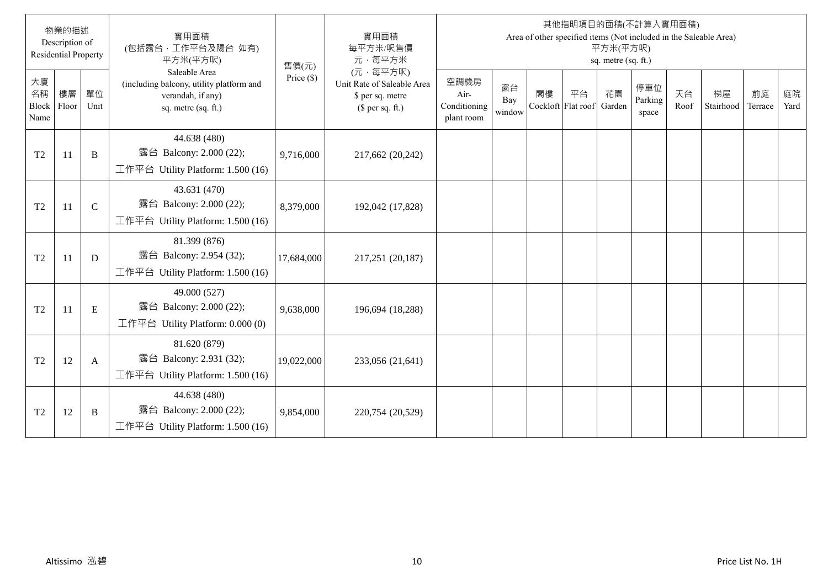|                                  | 物業的描述<br>Description of<br><b>Residential Property</b> |               | 實用面積<br>(包括露台,工作平台及陽台 如有)<br>平方米(平方呎)                                                                 | 售價(元)        | 實用面積<br>每平方米/呎售價<br>元·每平方米                                                     |                                            |                     |    |                                 | 平方米(平方呎)<br>sq. metre (sq. ft.) | 其他指明項目的面積(不計算入實用面積)     |            | Area of other specified items (Not included in the Saleable Area) |               |            |
|----------------------------------|--------------------------------------------------------|---------------|-------------------------------------------------------------------------------------------------------|--------------|--------------------------------------------------------------------------------|--------------------------------------------|---------------------|----|---------------------------------|---------------------------------|-------------------------|------------|-------------------------------------------------------------------|---------------|------------|
| 大廈<br>名稱<br><b>Block</b><br>Name | 樓層<br>Floor                                            | 單位<br>Unit    | Saleable Area<br>(including balcony, utility platform and<br>verandah, if any)<br>sq. metre (sq. ft.) | Price $(\$)$ | (元·每平方呎)<br>Unit Rate of Saleable Area<br>\$ per sq. metre<br>$$$ per sq. ft.) | 空調機房<br>Air-<br>Conditioning<br>plant room | 窗台<br>Bay<br>window | 閣樓 | 平台<br>Cockloft Flat roof Garden | 花園                              | 停車位<br>Parking<br>space | 天台<br>Roof | 梯屋<br>Stairhood                                                   | 前庭<br>Terrace | 庭院<br>Yard |
| T <sub>2</sub>                   | 11                                                     | B             | 44.638 (480)<br>露台 Balcony: 2.000 (22);<br>工作平台 Utility Platform: 1.500 (16)                          | 9,716,000    | 217,662 (20,242)                                                               |                                            |                     |    |                                 |                                 |                         |            |                                                                   |               |            |
| T <sub>2</sub>                   | 11                                                     | $\mathcal{C}$ | 43.631 (470)<br>露台 Balcony: 2.000 (22);<br>工作平台 Utility Platform: 1.500 (16)                          | 8,379,000    | 192,042 (17,828)                                                               |                                            |                     |    |                                 |                                 |                         |            |                                                                   |               |            |
| T <sub>2</sub>                   | 11                                                     | D             | 81.399 (876)<br>露台 Balcony: 2.954 (32);<br>工作平台 Utility Platform: $1.500(16)$                         | 17,684,000   | 217,251 (20,187)                                                               |                                            |                     |    |                                 |                                 |                         |            |                                                                   |               |            |
| T <sub>2</sub>                   | 11                                                     | E             | 49.000 (527)<br>露台 Balcony: 2.000 (22);<br>工作平台 Utility Platform: 0.000 (0)                           | 9,638,000    | 196,694 (18,288)                                                               |                                            |                     |    |                                 |                                 |                         |            |                                                                   |               |            |
| T <sub>2</sub>                   | 12                                                     | A             | 81.620 (879)<br>露台 Balcony: 2.931 (32);<br>工作平台 Utility Platform: 1.500 (16)                          | 19,022,000   | 233,056 (21,641)                                                               |                                            |                     |    |                                 |                                 |                         |            |                                                                   |               |            |
| T <sub>2</sub>                   | 12                                                     | B             | 44.638 (480)<br>露台 Balcony: 2.000 (22);<br>工作平台 Utility Platform: $1.500(16)$                         | 9,854,000    | 220,754 (20,529)                                                               |                                            |                     |    |                                 |                                 |                         |            |                                                                   |               |            |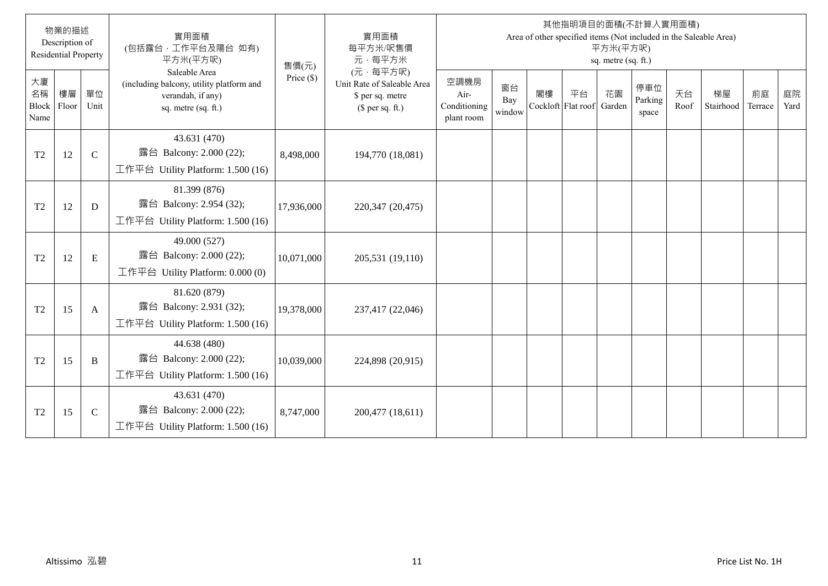|                                  | 物業的描述<br>Description of<br><b>Residential Property</b> |               | 實用面積<br>(包括露台,工作平台及陽台 如有)<br>平方米(平方呎)                                                                 | 售價(元)        | 實用面積<br>每平方米/呎售價<br>元·每平方米                                                     |                                            |                     |    |                                 | 平方米(平方呎)<br>sq. metre (sq. ft.) | 其他指明項目的面積(不計算入實用面積)     |            | Area of other specified items (Not included in the Saleable Area) |               |            |
|----------------------------------|--------------------------------------------------------|---------------|-------------------------------------------------------------------------------------------------------|--------------|--------------------------------------------------------------------------------|--------------------------------------------|---------------------|----|---------------------------------|---------------------------------|-------------------------|------------|-------------------------------------------------------------------|---------------|------------|
| 大廈<br>名稱<br><b>Block</b><br>Name | 樓層<br>Floor                                            | 單位<br>Unit    | Saleable Area<br>(including balcony, utility platform and<br>verandah, if any)<br>sq. metre (sq. ft.) | Price $(\$)$ | (元·每平方呎)<br>Unit Rate of Saleable Area<br>\$ per sq. metre<br>$$$ per sq. ft.) | 空調機房<br>Air-<br>Conditioning<br>plant room | 窗台<br>Bay<br>window | 閣樓 | 平台<br>Cockloft Flat roof Garden | 花園                              | 停車位<br>Parking<br>space | 天台<br>Roof | 梯屋<br>Stairhood                                                   | 前庭<br>Terrace | 庭院<br>Yard |
| T <sub>2</sub>                   | 12                                                     | $\mathcal{C}$ | 43.631 (470)<br>露台 Balcony: 2.000 (22);<br>工作平台 Utility Platform: $1.500(16)$                         | 8,498,000    | 194,770 (18,081)                                                               |                                            |                     |    |                                 |                                 |                         |            |                                                                   |               |            |
| T <sub>2</sub>                   | 12                                                     | D             | 81.399 (876)<br>露台 Balcony: 2.954 (32);<br>工作平台 Utility Platform: $1.500(16)$                         | 17,936,000   | 220,347 (20,475)                                                               |                                            |                     |    |                                 |                                 |                         |            |                                                                   |               |            |
| T <sub>2</sub>                   | 12                                                     | E             | 49.000 (527)<br>露台 Balcony: 2.000 (22);<br>工作平台 Utility Platform: $0.000(0)$                          | 10,071,000   | 205,531 (19,110)                                                               |                                            |                     |    |                                 |                                 |                         |            |                                                                   |               |            |
| T <sub>2</sub>                   | 15                                                     | A             | 81.620 (879)<br>露台 Balcony: 2.931 (32);<br>工作平台 Utility Platform: 1.500 (16)                          | 19,378,000   | 237,417 (22,046)                                                               |                                            |                     |    |                                 |                                 |                         |            |                                                                   |               |            |
| T <sub>2</sub>                   | 15                                                     | B             | 44.638 (480)<br>露台 Balcony: 2.000 (22);<br>工作平台 Utility Platform: 1.500 (16)                          | 10,039,000   | 224,898 (20,915)                                                               |                                            |                     |    |                                 |                                 |                         |            |                                                                   |               |            |
| T <sub>2</sub>                   | 15                                                     | $\mathcal{C}$ | 43.631 (470)<br>露台 Balcony: 2.000 (22);<br>工作平台 Utility Platform: $1.500(16)$                         | 8,747,000    | 200,477 (18,611)                                                               |                                            |                     |    |                                 |                                 |                         |            |                                                                   |               |            |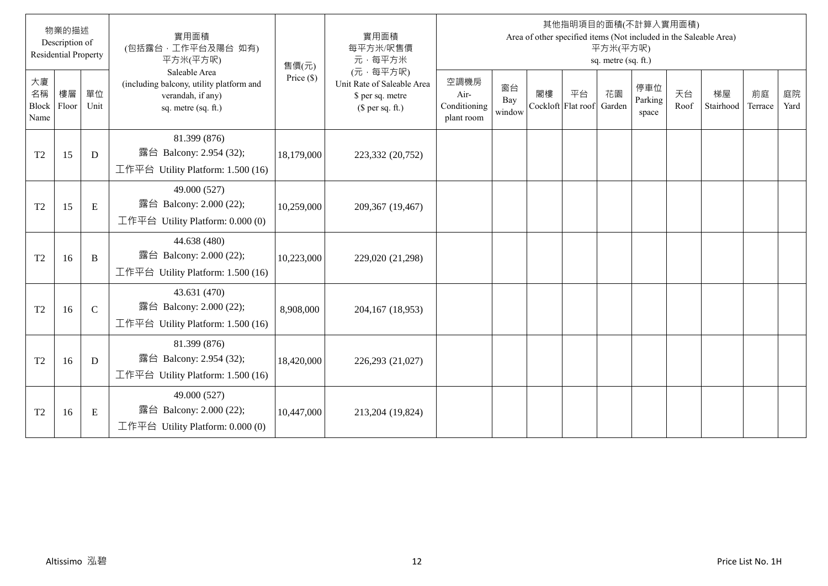|                                  | 物業的描述<br>Description of<br><b>Residential Property</b> |               | 實用面積<br>(包括露台,工作平台及陽台 如有)<br>平方米(平方呎)                                                                 | 售價(元)        | 實用面積<br>每平方米/呎售價<br>元·每平方米                                                     |                                            |                     |    |                                 | 平方米(平方呎)<br>sq. metre (sq. ft.) | 其他指明項目的面積(不計算入實用面積)     |            | Area of other specified items (Not included in the Saleable Area) |               |            |
|----------------------------------|--------------------------------------------------------|---------------|-------------------------------------------------------------------------------------------------------|--------------|--------------------------------------------------------------------------------|--------------------------------------------|---------------------|----|---------------------------------|---------------------------------|-------------------------|------------|-------------------------------------------------------------------|---------------|------------|
| 大廈<br>名稱<br><b>Block</b><br>Name | 樓層<br>Floor                                            | 單位<br>Unit    | Saleable Area<br>(including balcony, utility platform and<br>verandah, if any)<br>sq. metre (sq. ft.) | Price $(\$)$ | (元·每平方呎)<br>Unit Rate of Saleable Area<br>\$ per sq. metre<br>$$$ per sq. ft.) | 空調機房<br>Air-<br>Conditioning<br>plant room | 窗台<br>Bay<br>window | 閣樓 | 平台<br>Cockloft Flat roof Garden | 花園                              | 停車位<br>Parking<br>space | 天台<br>Roof | 梯屋<br>Stairhood                                                   | 前庭<br>Terrace | 庭院<br>Yard |
| T <sub>2</sub>                   | 15                                                     | D             | 81.399 (876)<br>露台 Balcony: 2.954 (32);<br>工作平台 Utility Platform: $1.500(16)$                         | 18,179,000   | 223,332 (20,752)                                                               |                                            |                     |    |                                 |                                 |                         |            |                                                                   |               |            |
| T <sub>2</sub>                   | 15                                                     | ${\bf E}$     | 49.000 (527)<br>露台 Balcony: 2.000 (22);<br>工作平台 Utility Platform: $0.000(0)$                          | 10,259,000   | 209,367 (19,467)                                                               |                                            |                     |    |                                 |                                 |                         |            |                                                                   |               |            |
| T <sub>2</sub>                   | 16                                                     | B             | 44.638 (480)<br>露台 Balcony: 2.000 (22);<br>工作平台 Utility Platform: 1.500 (16)                          | 10,223,000   | 229,020 (21,298)                                                               |                                            |                     |    |                                 |                                 |                         |            |                                                                   |               |            |
| T <sub>2</sub>                   | 16                                                     | $\mathcal{C}$ | 43.631 (470)<br>露台 Balcony: 2.000 (22);<br>工作平台 Utility Platform: 1.500 (16)                          | 8,908,000    | 204,167 (18,953)                                                               |                                            |                     |    |                                 |                                 |                         |            |                                                                   |               |            |
| T <sub>2</sub>                   | 16                                                     | D             | 81.399 (876)<br>露台 Balcony: 2.954 (32);<br>工作平台 Utility Platform: 1.500 (16)                          | 18,420,000   | 226,293 (21,027)                                                               |                                            |                     |    |                                 |                                 |                         |            |                                                                   |               |            |
| T <sub>2</sub>                   | 16                                                     | E             | 49.000 (527)<br>露台 Balcony: 2.000 (22);<br>工作平台 Utility Platform: 0.000 (0)                           | 10,447,000   | 213,204 (19,824)                                                               |                                            |                     |    |                                 |                                 |                         |            |                                                                   |               |            |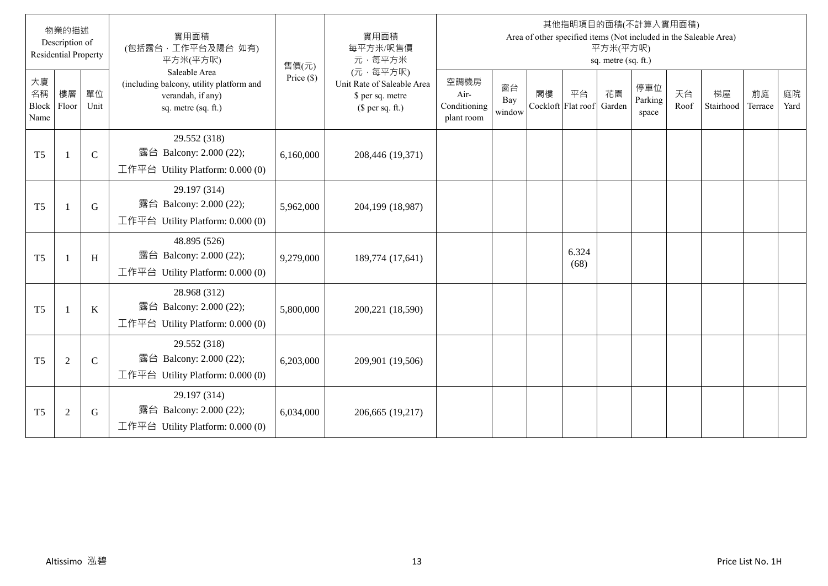|                           | 物業的描述<br>Description of<br><b>Residential Property</b> |               | 實用面積<br>(包括露台,工作平台及陽台 如有)<br>平方米(平方呎)                                                                 | 售價(元)        | 實用面積<br>每平方米/呎售價<br>元·每平方米                                                     |                                            |                     |    |                                 | 平方米(平方呎)<br>sq. metre (sq. ft.) | 其他指明項目的面積(不計算入實用面積)     |            | Area of other specified items (Not included in the Saleable Area) |               |            |
|---------------------------|--------------------------------------------------------|---------------|-------------------------------------------------------------------------------------------------------|--------------|--------------------------------------------------------------------------------|--------------------------------------------|---------------------|----|---------------------------------|---------------------------------|-------------------------|------------|-------------------------------------------------------------------|---------------|------------|
| 大廈<br>名稱<br>Block<br>Name | 樓層<br>Floor                                            | 單位<br>Unit    | Saleable Area<br>(including balcony, utility platform and<br>verandah, if any)<br>sq. metre (sq. ft.) | Price $(\$)$ | (元·每平方呎)<br>Unit Rate of Saleable Area<br>\$ per sq. metre<br>$$$ per sq. ft.) | 空調機房<br>Air-<br>Conditioning<br>plant room | 窗台<br>Bay<br>window | 閣樓 | 平台<br>Cockloft Flat roof Garden | 花園                              | 停車位<br>Parking<br>space | 天台<br>Roof | 梯屋<br>Stairhood                                                   | 前庭<br>Terrace | 庭院<br>Yard |
| T <sub>5</sub>            | $\overline{1}$                                         | $\mathbf C$   | 29.552 (318)<br>露台 Balcony: 2.000 (22);<br>工作平台 Utility Platform: $0.000(0)$                          | 6,160,000    | 208,446 (19,371)                                                               |                                            |                     |    |                                 |                                 |                         |            |                                                                   |               |            |
| T <sub>5</sub>            | $\overline{1}$                                         | G             | 29.197 (314)<br>露台 Balcony: 2.000 (22);<br>工作平台 Utility Platform: $0.000(0)$                          | 5,962,000    | 204,199 (18,987)                                                               |                                            |                     |    |                                 |                                 |                         |            |                                                                   |               |            |
| T <sub>5</sub>            | -1                                                     | H             | 48.895 (526)<br>露台 Balcony: 2.000 (22);<br>工作平台 Utility Platform: $0.000(0)$                          | 9,279,000    | 189,774 (17,641)                                                               |                                            |                     |    | 6.324<br>(68)                   |                                 |                         |            |                                                                   |               |            |
| T <sub>5</sub>            | - 1                                                    | $\bf K$       | 28.968 (312)<br>露台 Balcony: 2.000 (22);<br>工作平台 Utility Platform: 0.000 (0)                           | 5,800,000    | 200,221 (18,590)                                                               |                                            |                     |    |                                 |                                 |                         |            |                                                                   |               |            |
| T <sub>5</sub>            | $\overline{2}$                                         | $\mathcal{C}$ | 29.552 (318)<br>露台 Balcony: 2.000 (22);<br>工作平台 Utility Platform: 0.000 (0)                           | 6,203,000    | 209,901 (19,506)                                                               |                                            |                     |    |                                 |                                 |                         |            |                                                                   |               |            |
| T <sub>5</sub>            | $\overline{2}$                                         | G             | 29.197 (314)<br>露台 Balcony: 2.000 (22);<br>工作平台 Utility Platform: $0.000(0)$                          | 6,034,000    | 206,665 (19,217)                                                               |                                            |                     |    |                                 |                                 |                         |            |                                                                   |               |            |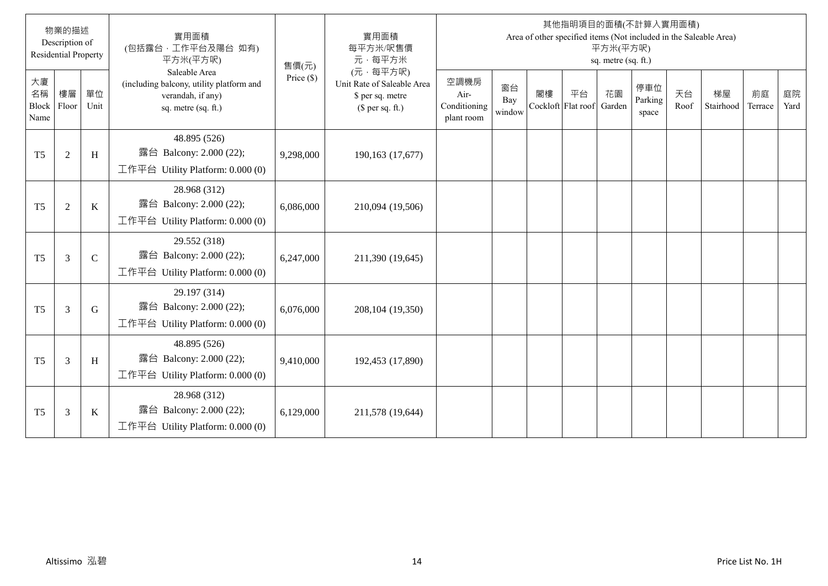|                           | 物業的描述<br>Description of<br><b>Residential Property</b> |               | 實用面積<br>(包括露台,工作平台及陽台 如有)<br>平方米(平方呎)                                                                 | 售價(元)        | 實用面積<br>每平方米/呎售價<br>元·每平方米                                                     |                                            |                     |    |                                 | 平方米(平方呎)<br>sq. metre (sq. ft.) | 其他指明項目的面積(不計算入實用面積)     |            | Area of other specified items (Not included in the Saleable Area) |               |            |
|---------------------------|--------------------------------------------------------|---------------|-------------------------------------------------------------------------------------------------------|--------------|--------------------------------------------------------------------------------|--------------------------------------------|---------------------|----|---------------------------------|---------------------------------|-------------------------|------------|-------------------------------------------------------------------|---------------|------------|
| 大廈<br>名稱<br>Block<br>Name | 樓層<br>Floor                                            | 單位<br>Unit    | Saleable Area<br>(including balcony, utility platform and<br>verandah, if any)<br>sq. metre (sq. ft.) | Price $(\$)$ | (元·每平方呎)<br>Unit Rate of Saleable Area<br>\$ per sq. metre<br>$$$ per sq. ft.) | 空調機房<br>Air-<br>Conditioning<br>plant room | 窗台<br>Bay<br>window | 閣樓 | 平台<br>Cockloft Flat roof Garden | 花園                              | 停車位<br>Parking<br>space | 天台<br>Roof | 梯屋<br>Stairhood                                                   | 前庭<br>Terrace | 庭院<br>Yard |
| T <sub>5</sub>            | $\sqrt{2}$                                             | H             | 48.895 (526)<br>露台 Balcony: 2.000 (22);<br>工作平台 Utility Platform: $0.000(0)$                          | 9,298,000    | 190,163 (17,677)                                                               |                                            |                     |    |                                 |                                 |                         |            |                                                                   |               |            |
| T <sub>5</sub>            | $\overline{2}$                                         | K             | 28.968 (312)<br>露台 Balcony: 2.000 (22);<br>工作平台 Utility Platform: $0.000(0)$                          | 6,086,000    | 210,094 (19,506)                                                               |                                            |                     |    |                                 |                                 |                         |            |                                                                   |               |            |
| T <sub>5</sub>            | $\overline{3}$                                         | $\mathcal{C}$ | 29.552 (318)<br>露台 Balcony: 2.000 (22);<br>工作平台 Utility Platform: $0.000(0)$                          | 6,247,000    | 211,390 (19,645)                                                               |                                            |                     |    |                                 |                                 |                         |            |                                                                   |               |            |
| T <sub>5</sub>            | $\overline{3}$                                         | G             | 29.197 (314)<br>露台 Balcony: 2.000 (22);<br>工作平台 Utility Platform: 0.000 (0)                           | 6,076,000    | 208,104 (19,350)                                                               |                                            |                     |    |                                 |                                 |                         |            |                                                                   |               |            |
| T <sub>5</sub>            | $\mathfrak{Z}$                                         | H             | 48.895 (526)<br>露台 Balcony: 2.000 (22);<br>工作平台 Utility Platform: $0.000(0)$                          | 9,410,000    | 192,453 (17,890)                                                               |                                            |                     |    |                                 |                                 |                         |            |                                                                   |               |            |
| T <sub>5</sub>            | $\mathfrak{Z}$                                         | $\bf K$       | 28.968 (312)<br>露台 Balcony: 2.000 (22);<br>工作平台 Utility Platform: $0.000(0)$                          | 6,129,000    | 211,578 (19,644)                                                               |                                            |                     |    |                                 |                                 |                         |            |                                                                   |               |            |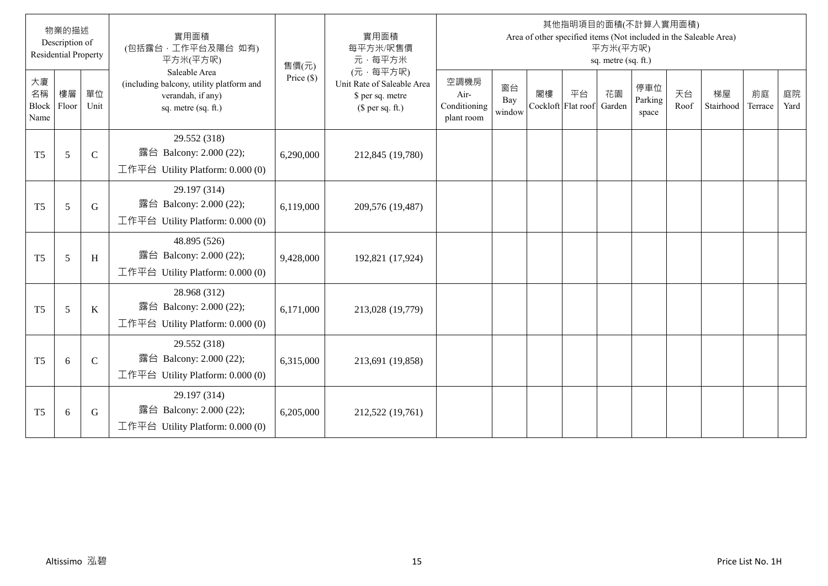|                           | 物業的描述<br>Description of<br><b>Residential Property</b> |               | 實用面積<br>(包括露台,工作平台及陽台 如有)<br>平方米(平方呎)                                                                 | 售價(元)        | 實用面積<br>每平方米/呎售價<br>元·每平方米                                                     |                                            |                     |    |                                 | 平方米(平方呎)<br>sq. metre (sq. ft.) | 其他指明項目的面積(不計算入實用面積)     |            | Area of other specified items (Not included in the Saleable Area) |               |            |
|---------------------------|--------------------------------------------------------|---------------|-------------------------------------------------------------------------------------------------------|--------------|--------------------------------------------------------------------------------|--------------------------------------------|---------------------|----|---------------------------------|---------------------------------|-------------------------|------------|-------------------------------------------------------------------|---------------|------------|
| 大廈<br>名稱<br>Block<br>Name | 樓層<br>Floor                                            | 單位<br>Unit    | Saleable Area<br>(including balcony, utility platform and<br>verandah, if any)<br>sq. metre (sq. ft.) | Price $(\$)$ | (元·每平方呎)<br>Unit Rate of Saleable Area<br>\$ per sq. metre<br>$$$ per sq. ft.) | 空調機房<br>Air-<br>Conditioning<br>plant room | 窗台<br>Bay<br>window | 閣樓 | 平台<br>Cockloft Flat roof Garden | 花園                              | 停車位<br>Parking<br>space | 天台<br>Roof | 梯屋<br>Stairhood                                                   | 前庭<br>Terrace | 庭院<br>Yard |
| T <sub>5</sub>            | 5                                                      | $\mathbf C$   | 29.552 (318)<br>露台 Balcony: 2.000 (22);<br>工作平台 Utility Platform: $0.000(0)$                          | 6,290,000    | 212,845 (19,780)                                                               |                                            |                     |    |                                 |                                 |                         |            |                                                                   |               |            |
| T <sub>5</sub>            | 5                                                      | G             | 29.197 (314)<br>露台 Balcony: 2.000 (22);<br>工作平台 Utility Platform: $0.000(0)$                          | 6,119,000    | 209,576 (19,487)                                                               |                                            |                     |    |                                 |                                 |                         |            |                                                                   |               |            |
| T <sub>5</sub>            | 5                                                      | H             | 48.895 (526)<br>露台 Balcony: 2.000 (22);<br>工作平台 Utility Platform: $0.000(0)$                          | 9,428,000    | 192,821 (17,924)                                                               |                                            |                     |    |                                 |                                 |                         |            |                                                                   |               |            |
| T <sub>5</sub>            | 5                                                      | K             | 28.968 (312)<br>露台 Balcony: 2.000 (22);<br>工作平台 Utility Platform: 0.000 (0)                           | 6,171,000    | 213,028 (19,779)                                                               |                                            |                     |    |                                 |                                 |                         |            |                                                                   |               |            |
| T <sub>5</sub>            | 6                                                      | $\mathcal{C}$ | 29.552 (318)<br>露台 Balcony: 2.000 (22);<br>工作平台 Utility Platform: $0.000(0)$                          | 6,315,000    | 213,691 (19,858)                                                               |                                            |                     |    |                                 |                                 |                         |            |                                                                   |               |            |
| T <sub>5</sub>            | 6                                                      | G             | 29.197 (314)<br>露台 Balcony: 2.000 (22);<br>工作平台 Utility Platform: $0.000(0)$                          | 6,205,000    | 212,522 (19,761)                                                               |                                            |                     |    |                                 |                                 |                         |            |                                                                   |               |            |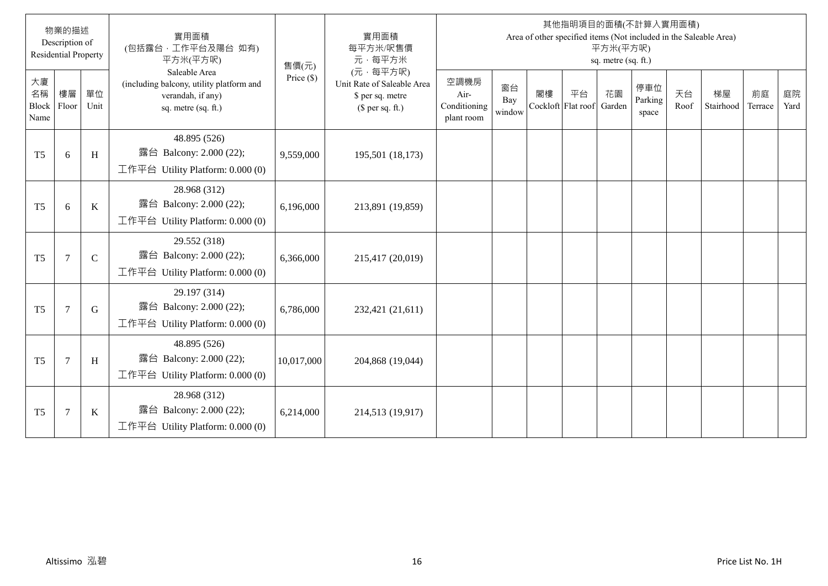|                           | 物業的描述<br>Description of<br><b>Residential Property</b> |               | 實用面積<br>(包括露台,工作平台及陽台 如有)<br>平方米(平方呎)                                                                 | 售價(元)        | 實用面積<br>每平方米/呎售價<br>元·每平方米                                                     |                                            |                     |    |                                 | 平方米(平方呎)<br>sq. metre (sq. ft.) | 其他指明項目的面積(不計算入實用面積)     |            | Area of other specified items (Not included in the Saleable Area) |               |            |
|---------------------------|--------------------------------------------------------|---------------|-------------------------------------------------------------------------------------------------------|--------------|--------------------------------------------------------------------------------|--------------------------------------------|---------------------|----|---------------------------------|---------------------------------|-------------------------|------------|-------------------------------------------------------------------|---------------|------------|
| 大廈<br>名稱<br>Block<br>Name | 樓層<br>Floor                                            | 單位<br>Unit    | Saleable Area<br>(including balcony, utility platform and<br>verandah, if any)<br>sq. metre (sq. ft.) | Price $(\$)$ | (元·每平方呎)<br>Unit Rate of Saleable Area<br>\$ per sq. metre<br>$$$ per sq. ft.) | 空調機房<br>Air-<br>Conditioning<br>plant room | 窗台<br>Bay<br>window | 閣樓 | 平台<br>Cockloft Flat roof Garden | 花園                              | 停車位<br>Parking<br>space | 天台<br>Roof | 梯屋<br>Stairhood                                                   | 前庭<br>Terrace | 庭院<br>Yard |
| T <sub>5</sub>            | 6                                                      | H             | 48.895 (526)<br>露台 Balcony: 2.000 (22);<br>工作平台 Utility Platform: $0.000(0)$                          | 9,559,000    | 195,501 (18,173)                                                               |                                            |                     |    |                                 |                                 |                         |            |                                                                   |               |            |
| T <sub>5</sub>            | 6                                                      | $\rm K$       | 28.968 (312)<br>露台 Balcony: 2.000 (22);<br>工作平台 Utility Platform: 0.000 (0)                           | 6,196,000    | 213,891 (19,859)                                                               |                                            |                     |    |                                 |                                 |                         |            |                                                                   |               |            |
| T <sub>5</sub>            | $7\phantom{.0}$                                        | $\mathcal{C}$ | 29.552 (318)<br>露台 Balcony: 2.000 (22);<br>工作平台 Utility Platform: $0.000(0)$                          | 6,366,000    | 215,417 (20,019)                                                               |                                            |                     |    |                                 |                                 |                         |            |                                                                   |               |            |
| T <sub>5</sub>            | $\overline{7}$                                         | G             | 29.197 (314)<br>露台 Balcony: 2.000 (22);<br>工作平台 Utility Platform: 0.000 (0)                           | 6,786,000    | 232,421 (21,611)                                                               |                                            |                     |    |                                 |                                 |                         |            |                                                                   |               |            |
| T <sub>5</sub>            | $7\phantom{.0}$                                        | H             | 48.895 (526)<br>露台 Balcony: 2.000 (22);<br>工作平台 Utility Platform: $0.000(0)$                          | 10,017,000   | 204,868 (19,044)                                                               |                                            |                     |    |                                 |                                 |                         |            |                                                                   |               |            |
| T <sub>5</sub>            | $\overline{7}$                                         | $\bf K$       | 28.968 (312)<br>露台 Balcony: 2.000 (22);<br>工作平台 Utility Platform: 0.000 (0)                           | 6,214,000    | 214,513 (19,917)                                                               |                                            |                     |    |                                 |                                 |                         |            |                                                                   |               |            |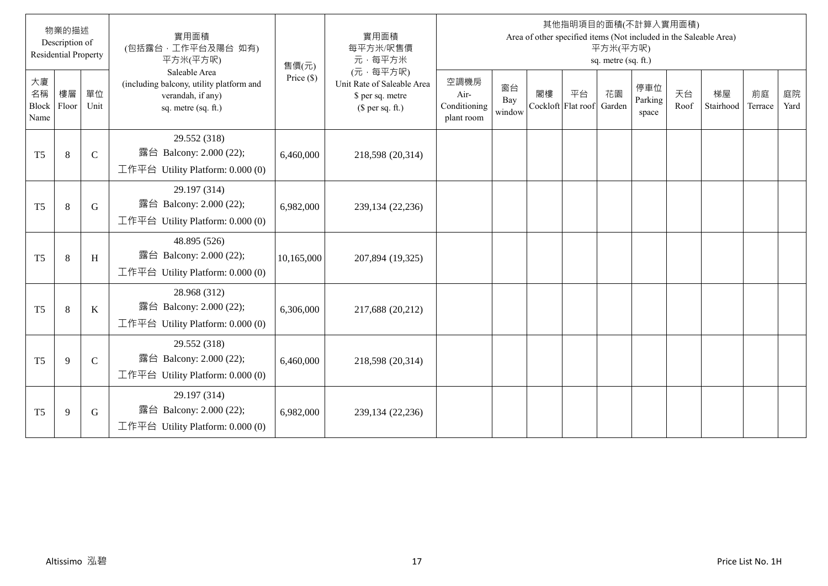|                           | 物業的描述<br>Description of<br><b>Residential Property</b> |               | 實用面積<br>(包括露台,工作平台及陽台 如有)<br>平方米(平方呎)                                                                 | 售價(元)        | 實用面積<br>每平方米/呎售價<br>元·每平方米                                                     |                                            |                     |    |                                 | 平方米(平方呎)<br>sq. metre (sq. ft.) | 其他指明項目的面積(不計算入實用面積)     |            | Area of other specified items (Not included in the Saleable Area) |               |            |
|---------------------------|--------------------------------------------------------|---------------|-------------------------------------------------------------------------------------------------------|--------------|--------------------------------------------------------------------------------|--------------------------------------------|---------------------|----|---------------------------------|---------------------------------|-------------------------|------------|-------------------------------------------------------------------|---------------|------------|
| 大廈<br>名稱<br>Block<br>Name | 樓層<br>Floor                                            | 單位<br>Unit    | Saleable Area<br>(including balcony, utility platform and<br>verandah, if any)<br>sq. metre (sq. ft.) | Price $(\$)$ | (元·每平方呎)<br>Unit Rate of Saleable Area<br>\$ per sq. metre<br>$$$ per sq. ft.) | 空調機房<br>Air-<br>Conditioning<br>plant room | 窗台<br>Bay<br>window | 閣樓 | 平台<br>Cockloft Flat roof Garden | 花園                              | 停車位<br>Parking<br>space | 天台<br>Roof | 梯屋<br>Stairhood                                                   | 前庭<br>Terrace | 庭院<br>Yard |
| T <sub>5</sub>            | $\,8\,$                                                | $\mathbf C$   | 29.552 (318)<br>露台 Balcony: 2.000 (22);<br>工作平台 Utility Platform: $0.000(0)$                          | 6,460,000    | 218,598 (20,314)                                                               |                                            |                     |    |                                 |                                 |                         |            |                                                                   |               |            |
| T <sub>5</sub>            | 8                                                      | G             | 29.197 (314)<br>露台 Balcony: 2.000 (22);<br>工作平台 Utility Platform: $0.000(0)$                          | 6,982,000    | 239,134 (22,236)                                                               |                                            |                     |    |                                 |                                 |                         |            |                                                                   |               |            |
| T <sub>5</sub>            | 8                                                      | H             | 48.895 (526)<br>露台 Balcony: 2.000 (22);<br>工作平台 Utility Platform: $0.000(0)$                          | 10,165,000   | 207,894 (19,325)                                                               |                                            |                     |    |                                 |                                 |                         |            |                                                                   |               |            |
| T <sub>5</sub>            | 8                                                      | K             | 28.968 (312)<br>露台 Balcony: 2.000 (22);<br>工作平台 Utility Platform: 0.000 (0)                           | 6,306,000    | 217,688 (20,212)                                                               |                                            |                     |    |                                 |                                 |                         |            |                                                                   |               |            |
| T <sub>5</sub>            | 9                                                      | $\mathcal{C}$ | 29.552 (318)<br>露台 Balcony: 2.000 (22);<br>工作平台 Utility Platform: $0.000(0)$                          | 6,460,000    | 218,598 (20,314)                                                               |                                            |                     |    |                                 |                                 |                         |            |                                                                   |               |            |
| T <sub>5</sub>            | 9                                                      | G             | 29.197 (314)<br>露台 Balcony: 2.000 (22);<br>工作平台 Utility Platform: $0.000(0)$                          | 6,982,000    | 239,134 (22,236)                                                               |                                            |                     |    |                                 |                                 |                         |            |                                                                   |               |            |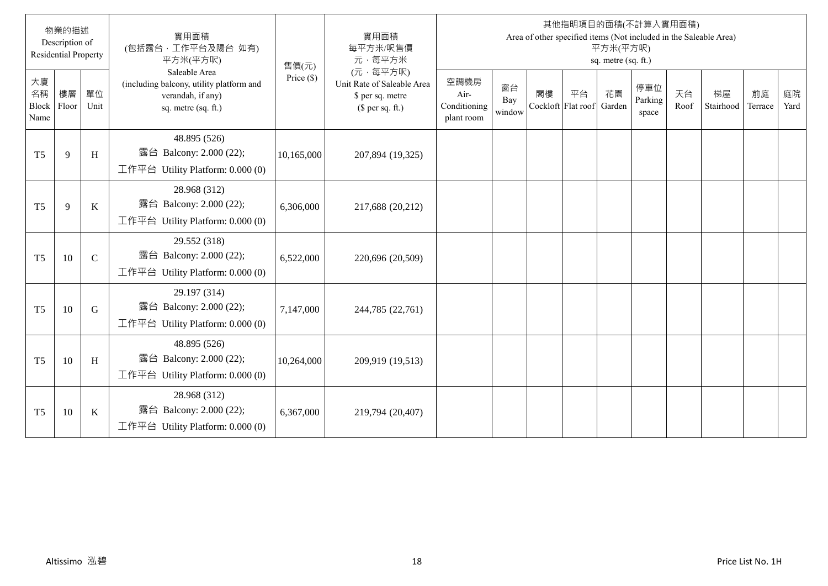|                           | 物業的描述<br>Description of<br><b>Residential Property</b> |               | 實用面積<br>(包括露台,工作平台及陽台 如有)<br>平方米(平方呎)                                                                 | 售價(元)        | 實用面積<br>每平方米/呎售價<br>元·每平方米                                                     |                                            |                     |    |                                 | 平方米(平方呎)<br>sq. metre (sq. ft.) | 其他指明項目的面積(不計算入實用面積)     |            | Area of other specified items (Not included in the Saleable Area) |               |            |
|---------------------------|--------------------------------------------------------|---------------|-------------------------------------------------------------------------------------------------------|--------------|--------------------------------------------------------------------------------|--------------------------------------------|---------------------|----|---------------------------------|---------------------------------|-------------------------|------------|-------------------------------------------------------------------|---------------|------------|
| 大廈<br>名稱<br>Block<br>Name | 樓層<br>Floor                                            | 單位<br>Unit    | Saleable Area<br>(including balcony, utility platform and<br>verandah, if any)<br>sq. metre (sq. ft.) | Price $(\$)$ | (元·每平方呎)<br>Unit Rate of Saleable Area<br>\$ per sq. metre<br>$$$ per sq. ft.) | 空調機房<br>Air-<br>Conditioning<br>plant room | 窗台<br>Bay<br>window | 閣樓 | 平台<br>Cockloft Flat roof Garden | 花園                              | 停車位<br>Parking<br>space | 天台<br>Roof | 梯屋<br>Stairhood                                                   | 前庭<br>Terrace | 庭院<br>Yard |
| T <sub>5</sub>            | 9                                                      | H             | 48.895 (526)<br>露台 Balcony: 2.000 (22);<br>工作平台 Utility Platform: $0.000(0)$                          | 10,165,000   | 207,894 (19,325)                                                               |                                            |                     |    |                                 |                                 |                         |            |                                                                   |               |            |
| T <sub>5</sub>            | 9                                                      | $\mathbf K$   | 28.968 (312)<br>露台 Balcony: 2.000 (22);<br>工作平台 Utility Platform: $0.000(0)$                          | 6,306,000    | 217,688 (20,212)                                                               |                                            |                     |    |                                 |                                 |                         |            |                                                                   |               |            |
| T <sub>5</sub>            | 10                                                     | $\mathcal{C}$ | 29.552 (318)<br>露台 Balcony: 2.000 (22);<br>工作平台 Utility Platform: $0.000(0)$                          | 6,522,000    | 220,696 (20,509)                                                               |                                            |                     |    |                                 |                                 |                         |            |                                                                   |               |            |
| T <sub>5</sub>            | 10                                                     | G             | 29.197 (314)<br>露台 Balcony: 2.000 (22);<br>工作平台 Utility Platform: 0.000 (0)                           | 7,147,000    | 244,785 (22,761)                                                               |                                            |                     |    |                                 |                                 |                         |            |                                                                   |               |            |
| T <sub>5</sub>            | 10                                                     | H             | 48.895 (526)<br>露台 Balcony: 2.000 (22);<br>工作平台 Utility Platform: 0.000 (0)                           | 10,264,000   | 209,919 (19,513)                                                               |                                            |                     |    |                                 |                                 |                         |            |                                                                   |               |            |
| T <sub>5</sub>            | 10                                                     | $\bf K$       | 28.968 (312)<br>露台 Balcony: 2.000 (22);<br>工作平台 Utility Platform: 0.000 (0)                           | 6,367,000    | 219,794 (20,407)                                                               |                                            |                     |    |                                 |                                 |                         |            |                                                                   |               |            |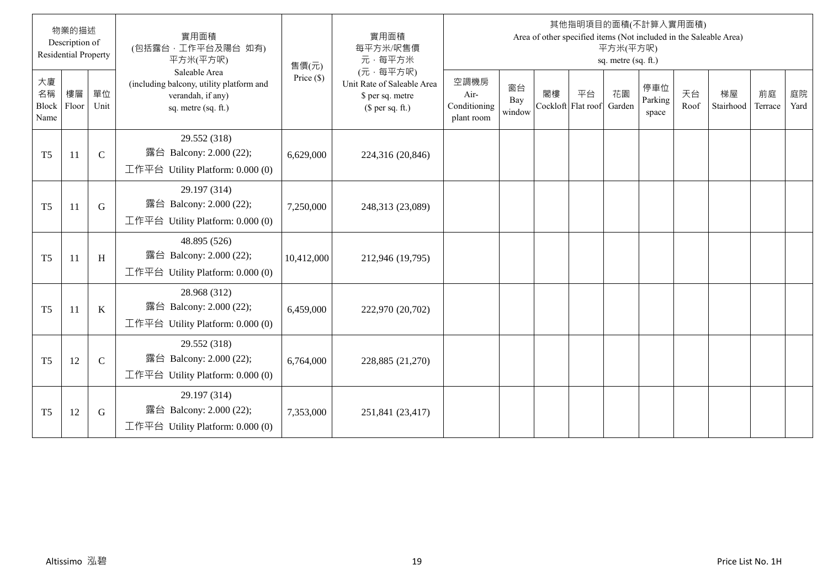|                           | 物業的描述<br>Description of<br><b>Residential Property</b> |               | 實用面積<br>(包括露台,工作平台及陽台 如有)<br>平方米(平方呎)                                                                 | 售價(元)        | 實用面積<br>每平方米/呎售價<br>元·每平方米                                                     |                                            |                     |                          |    | 平方米(平方呎)<br>sq. metre (sq. ft.) | 其他指明項目的面積(不計算入實用面積)     |            | Area of other specified items (Not included in the Saleable Area) |               |            |
|---------------------------|--------------------------------------------------------|---------------|-------------------------------------------------------------------------------------------------------|--------------|--------------------------------------------------------------------------------|--------------------------------------------|---------------------|--------------------------|----|---------------------------------|-------------------------|------------|-------------------------------------------------------------------|---------------|------------|
| 大廈<br>名稱<br>Block<br>Name | 樓層<br>Floor                                            | 單位<br>Unit    | Saleable Area<br>(including balcony, utility platform and<br>verandah, if any)<br>sq. metre (sq. ft.) | Price $(\$)$ | (元·每平方呎)<br>Unit Rate of Saleable Area<br>\$ per sq. metre<br>$$$ per sq. ft.) | 空調機房<br>Air-<br>Conditioning<br>plant room | 窗台<br>Bay<br>window | 閣樓<br>Cockloft Flat roof | 平台 | 花園<br>Garden                    | 停車位<br>Parking<br>space | 天台<br>Roof | 梯屋<br>Stairhood                                                   | 前庭<br>Terrace | 庭院<br>Yard |
| T <sub>5</sub>            | 11                                                     | $\mathcal{C}$ | 29.552 (318)<br>露台 Balcony: 2.000 (22);<br>工作平台 Utility Platform: 0.000 (0)                           | 6,629,000    | 224,316 (20,846)                                                               |                                            |                     |                          |    |                                 |                         |            |                                                                   |               |            |
| T <sub>5</sub>            | 11                                                     | G             | 29.197 (314)<br>露台 Balcony: 2.000 (22);<br>工作平台 Utility Platform: 0.000 (0)                           | 7,250,000    | 248,313 (23,089)                                                               |                                            |                     |                          |    |                                 |                         |            |                                                                   |               |            |
| T <sub>5</sub>            | 11                                                     | H             | 48.895 (526)<br>露台 Balcony: 2.000 (22);<br>工作平台 Utility Platform: 0.000 (0)                           | 10,412,000   | 212,946 (19,795)                                                               |                                            |                     |                          |    |                                 |                         |            |                                                                   |               |            |
| T <sub>5</sub>            | 11                                                     | K             | 28.968 (312)<br>露台 Balcony: 2.000 (22);<br>工作平台 Utility Platform: $0.000(0)$                          | 6,459,000    | 222,970 (20,702)                                                               |                                            |                     |                          |    |                                 |                         |            |                                                                   |               |            |
| T <sub>5</sub>            | 12                                                     | $\mathcal{C}$ | 29.552 (318)<br>露台 Balcony: 2.000 (22);<br>工作平台 Utility Platform: 0.000 (0)                           | 6,764,000    | 228,885 (21,270)                                                               |                                            |                     |                          |    |                                 |                         |            |                                                                   |               |            |
| T <sub>5</sub>            | 12                                                     | G             | 29.197 (314)<br>露台 Balcony: 2.000 (22);<br>工作平台 Utility Platform: 0.000 (0)                           | 7,353,000    | 251,841 (23,417)                                                               |                                            |                     |                          |    |                                 |                         |            |                                                                   |               |            |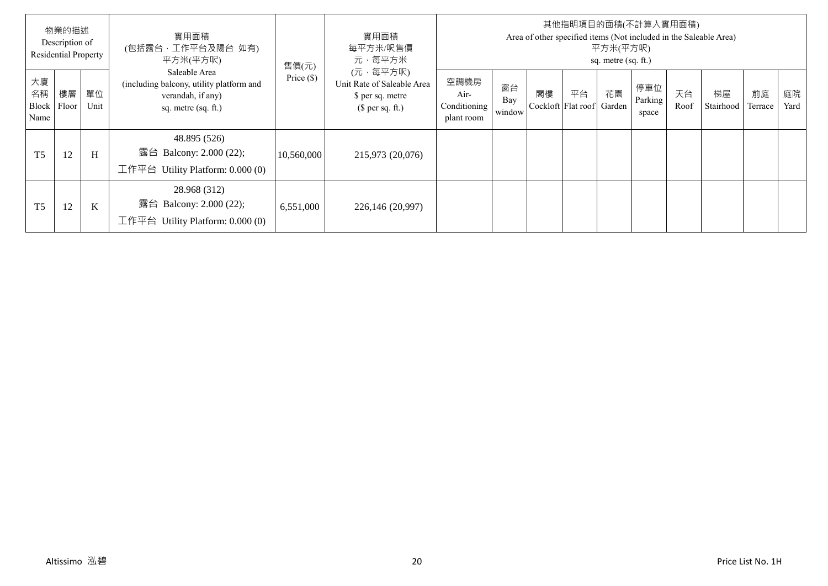|                           | 物業的描述<br>Description of<br><b>Residential Property</b> |            | 實用面積<br>(包括露台,工作平台及陽台 如有)<br>平方米(平方呎)                                                                   | 售價(元)        | 實用面積<br>每平方米/呎售價<br>元·每平方米                                                     |                                            |                     |    |                          | 平方米(平方呎)<br>sq. metre (sq. ft.) | 其他指明項目的面積(不計算入實用面積)     |            | Area of other specified items (Not included in the Saleable Area) |               |            |
|---------------------------|--------------------------------------------------------|------------|---------------------------------------------------------------------------------------------------------|--------------|--------------------------------------------------------------------------------|--------------------------------------------|---------------------|----|--------------------------|---------------------------------|-------------------------|------------|-------------------------------------------------------------------|---------------|------------|
| 大廈<br>名稱<br>Block<br>Name | 樓層<br>Floor                                            | 單位<br>Unit | Saleable Area<br>(including balcony, utility platform and<br>verandah, if any)<br>sq. metre $(sq. ft.)$ | Price $(\$)$ | (元·每平方呎)<br>Unit Rate of Saleable Area<br>\$ per sq. metre<br>$$$ per sq. ft.) | 空調機房<br>Air-<br>Conditioning<br>plant room | 窗台<br>Bay<br>window | 閣樓 | 平台<br>Cockloft Flat roof | 花園<br>Garden                    | 停車位<br>Parking<br>space | 天台<br>Roof | 梯屋<br>Stairhood                                                   | 前庭<br>Terrace | 庭院<br>Yard |
| T <sub>5</sub>            | 12                                                     | H          | 48.895 (526)<br>露台<br>Balcony: 2.000 (22);<br>工作平台 Utility Platform: $0.000(0)$                         | 10,560,000   | 215,973 (20,076)                                                               |                                            |                     |    |                          |                                 |                         |            |                                                                   |               |            |
| T <sub>5</sub>            | 12                                                     | $\bf K$    | 28.968 (312)<br>露台 Balcony: 2.000 (22);<br>工作平台<br>Utility Platform: 0.000 (0)                          | 6,551,000    | 226,146 (20,997)                                                               |                                            |                     |    |                          |                                 |                         |            |                                                                   |               |            |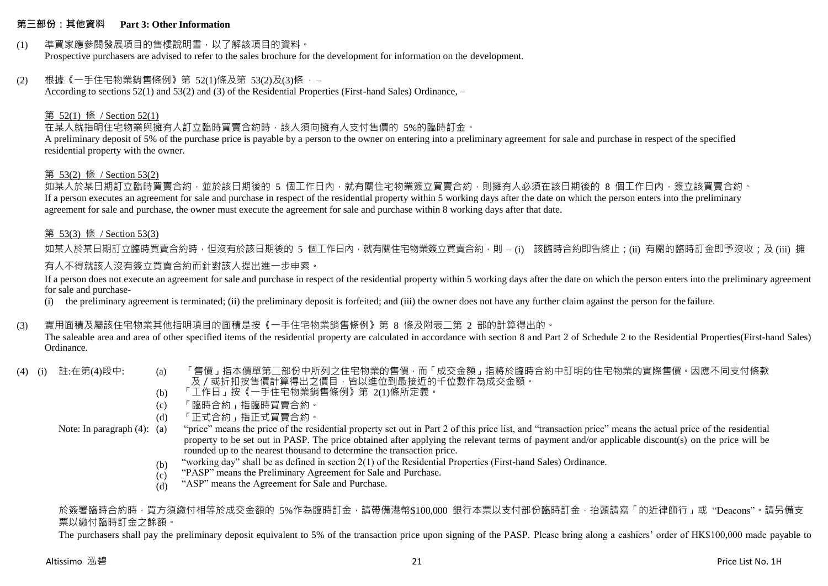#### **第三部份:其他資料 Part 3: Other Information**

# (1) 準買家應參閱發展項目的售樓說明書,以了解該項目的資料。

Prospective purchasers are advised to refer to the sales brochure for the development for information on the development.

# $(2)$  根據《一手住宅物業銷售條例》第 52(1)條及第 53(2)及(3)條,

According to sections 52(1) and 53(2) and (3) of the Residential Properties (First-hand Sales) Ordinance, –

# 第 52(1) 條 / Section 52(1)

# 在某人就指明住宅物業與擁有人訂立臨時買賣合約時,該人須向擁有人支付售價的 5%的臨時訂金。

A preliminary deposit of 5% of the purchase price is payable by a person to the owner on entering into a preliminary agreement for sale and purchase in respect of the specified residential property with the owner.

#### 第 53(2) 條 / Section 53(2)

如某人於某日期訂立臨時買賣合約,並於該日期後的 5 個工作日內,就有關住宅物業簽立買賣合約,則擁有人必須在該日期後的 8 個工作日內,簽立該買賣合約。 If a person executes an agreement for sale and purchase in respect of the residential property within 5 working days after the date on which the person enters into the preliminary agreement for sale and purchase, the owner must execute the agreement for sale and purchase within 8 working days after that date.

#### 第 53(3) 條 / Section 53(3)

如某人於某日期訂立臨時買賣合約時,但沒有於該日期後的 5 個工作日內,就有關住宅物業簽立買賣合約,則 – (i) 該臨時合約即告終止;(ii) 有關的臨時訂金即予沒收;及 (iii) 擁 有人不得就該人沒有簽立買賣合約而針對該人提出進一步申索。

If a person does not execute an agreement for sale and purchase in respect of the residential property within 5 working days after the date on which the person enters into the preliminary agreement for sale and purchase-

(i) the preliminary agreement is terminated; (ii) the preliminary deposit is forfeited; and (iii) the owner does not have any further claim against the person for the failure.

#### (3) 實用面積及屬該住宅物業其他指明項目的面積是按《一手住宅物業銷售條例》第 8 條及附表二第 2 部的計算得出的。

The saleable area and area of other specified items of the residential property are calculated in accordance with section 8 and Part 2 of Schedule 2 to the Residential Properties(First-hand Sales) Ordinance.

- 
- (4) (i) 註:在第(4)段中: (a) 「售價」指本價單第二部份中所列之住宅物業的售價,而「成交金額」指將於臨時合約中訂明的住宅物業的實際售價。因應不同支付條款 及/或折扣按售價計算得出之價目,皆以進位到最接近的千位數作為成交金額。
	- (b) 「工作日」按《一手住宅物業銷售條例》第 2(1)條所定義。
	- (c) 「臨時合約」指臨時買賣合約。
	- (d) 「正式合約」指正式買賣合約。

Note: In paragraph (4): (a)

- "price" means the price of the residential property set out in Part 2 of this price list, and "transaction price" means the actual price of the residential property to be set out in PASP. The price obtained after applying the relevant terms of payment and/or applicable discount(s) on the price will be rounded up to the nearest thousand to determine the transaction price.
	- (b) "working day" shall be as defined in section 2(1) of the Residential Properties (First-hand Sales) Ordinance.
	- (c) "PASP" means the Preliminary Agreement for Sale and Purchase.
	- (d) "ASP" means the Agreement for Sale and Purchase.

於簽署臨時合約時,買方須繳付相等於成交金額的 5%作為臨時訂金,請帶備港幣\$100,000 銀行本票以支付部份臨時訂金,抬頭請寫「的近律師行」或"Deacons"。請另備支 票以繳付臨時訂金之餘額。

The purchasers shall pay the preliminary deposit equivalent to 5% of the transaction price upon signing of the PASP. Please bring along a cashiers' order of HK\$100,000 made payable to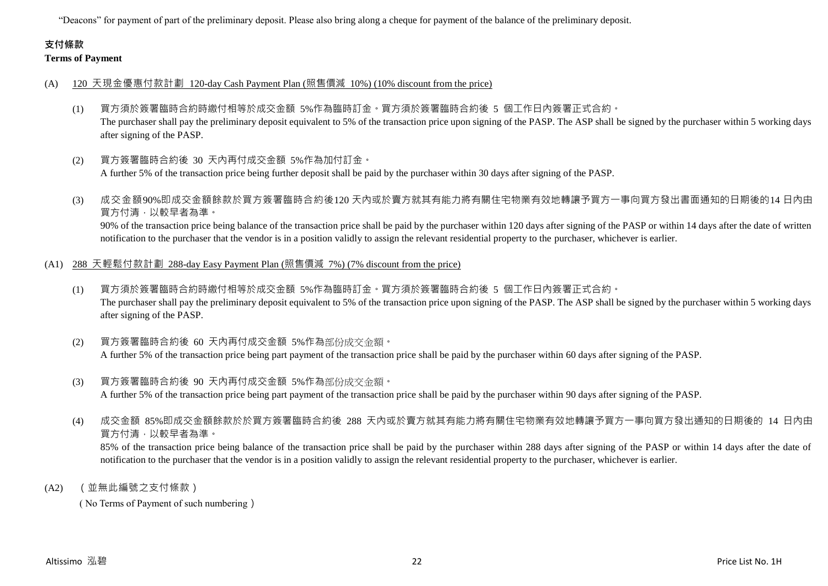"Deacons" for payment of part of the preliminary deposit. Please also bring along a cheque for payment of the balance of the preliminary deposit.

# **支付條款**

# **Terms of Payment**

- (A) 120 天現金優惠付款計劃 120-day Cash Payment Plan (照售價減 10%) (10% discount from the price)
	- (1) 買方須於簽署臨時合約時繳付相等於成交金額 5%作為臨時訂金。買方須於簽署臨時合約後 5 個工作日內簽署正式合約。 The purchaser shall pay the preliminary deposit equivalent to 5% of the transaction price upon signing of the PASP. The ASP shall be signed by the purchaser within 5 working days after signing of the PASP.
	- (2) 買方簽署臨時合約後 30 天內再付成交金額 5%作為加付訂金。 A further 5% of the transaction price being further deposit shall be paid by the purchaser within 30 days after signing of the PASP.
	- (3) 成交金額90%即成交金額餘款於買方簽署臨時合約後120 天內或於賣方就其有能力將有關住宅物業有效地轉讓予買方一事向買方發出書面通知的日期後的14 日內由 買方付清,以較早者為準。 90% of the transaction price being balance of the transaction price shall be paid by the purchaser within 120 days after signing of the PASP or within 14 days after the date of written notification to the purchaser that the vendor is in a position validly to assign the relevant residential property to the purchaser, whichever is earlier.
- (A1) 288 天輕鬆付款計劃 288-day Easy Payment Plan (照售價減 7%) (7% discount from the price)
	- (1) 買方須於簽署臨時合約時繳付相等於成交金額 5%作為臨時訂金。買方須於簽署臨時合約後 5 個工作日內簽署正式合約。 The purchaser shall pay the preliminary deposit equivalent to 5% of the transaction price upon signing of the PASP. The ASP shall be signed by the purchaser within 5 working days after signing of the PASP.
	- (2) 買方簽署臨時合約後 60 天內再付成交金額 5%作為部份成交金額。 A further 5% of the transaction price being part payment of the transaction price shall be paid by the purchaser within 60 days after signing of the PASP.
	- (3) 買方簽署臨時合約後 90 天內再付成交金額 5%作為部份成交金額。 A further 5% of the transaction price being part payment of the transaction price shall be paid by the purchaser within 90 days after signing of the PASP.
	- (4) 成交金額 85%即成交金額餘款於於買方簽署臨時合約後 288 天內或於賣方就其有能力將有關住宅物業有效地轉讓予買方一事向買方發出通知的日期後的 14 日內由 買方付清,以較早者為準。 85% of the transaction price being balance of the transaction price shall be paid by the purchaser within 288 days after signing of the PASP or within 14 days after the date of notification to the purchaser that the vendor is in a position validly to assign the relevant residential property to the purchaser, whichever is earlier.
- (A2) (並無此編號之支付條款)

( No Terms of Payment of such numbering)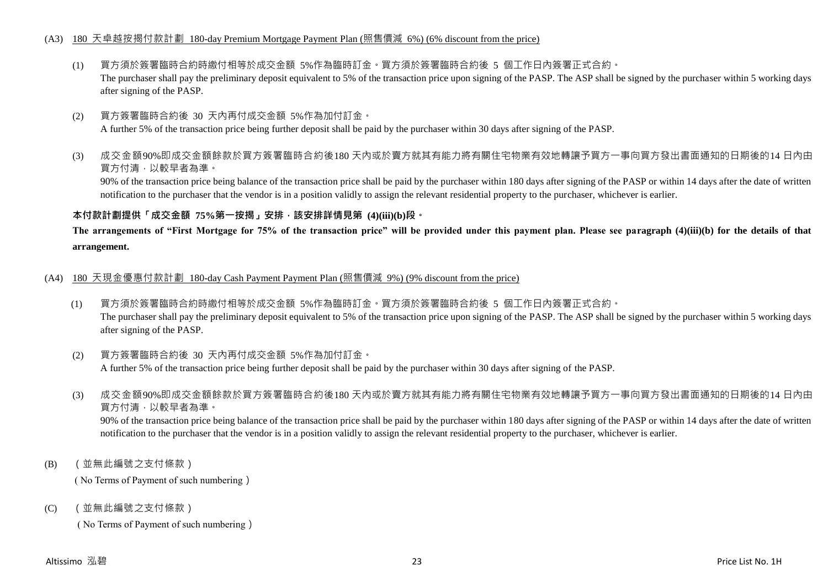# (A3) 180 天卓越按揭付款計劃 180-day Premium Mortgage Payment Plan (照售價減 6%) (6% discount from the price)

- (1) 買方須於簽署臨時合約時繳付相等於成交金額 5%作為臨時訂金。買方須於簽署臨時合約後 5 個工作日內簽署正式合約。 The purchaser shall pay the preliminary deposit equivalent to 5% of the transaction price upon signing of the PASP. The ASP shall be signed by the purchaser within 5 working days after signing of the PASP.
- (2) 買方簽署臨時合約後 30 天內再付成交金額 5%作為加付訂金。

A further 5% of the transaction price being further deposit shall be paid by the purchaser within 30 days after signing of the PASP.

(3) 成交金額90%即成交金額餘款於買方簽署臨時合約後180 天內或於賣方就其有能力將有關住宅物業有效地轉讓予買方一事向買方發出書面通知的日期後的14 日內由 買方付清,以較早者為準。

90% of the transaction price being balance of the transaction price shall be paid by the purchaser within 180 days after signing of the PASP or within 14 days after the date of written notification to the purchaser that the vendor is in a position validly to assign the relevant residential property to the purchaser, whichever is earlier.

#### **本付款計劃提供「成交金額 75%第一按揭」安排,該安排詳情見第 (4)(iii)(b)段。**

**The arrangements of "First Mortgage for 75% of the transaction price" will be provided under this payment plan. Please see paragraph (4)(iii)(b) for the details of that arrangement.**

- (A4) 180 天現金優惠付款計劃 180-day Cash Payment Payment Plan (照售價減 9%) (9% discount from the price)
	- (1) 買方須於簽署臨時合約時繳付相等於成交金額 5%作為臨時訂金。買方須於簽署臨時合約後 5 個工作日內簽署正式合約。 The purchaser shall pay the preliminary deposit equivalent to 5% of the transaction price upon signing of the PASP. The ASP shall be signed by the purchaser within 5 working days after signing of the PASP.
	- (2) 買方簽署臨時合約後 30 天內再付成交金額 5%作為加付訂金。 A further 5% of the transaction price being further deposit shall be paid by the purchaser within 30 days after signing of the PASP.
	- (3) 成交金額90%即成交金額餘款於買方簽署臨時合約後180 天內或於賣方就其有能力將有關住宅物業有效地轉讓予買方一事向買方發出書面通知的日期後的14 日內由 買方付清,以較早者為準。

90% of the transaction price being balance of the transaction price shall be paid by the purchaser within 180 days after signing of the PASP or within 14 days after the date of written notification to the purchaser that the vendor is in a position validly to assign the relevant residential property to the purchaser, whichever is earlier.

(B) (並無此編號之支付條款)

( No Terms of Payment of such numbering)

(C) (並無此編號之支付條款)

( No Terms of Payment of such numbering)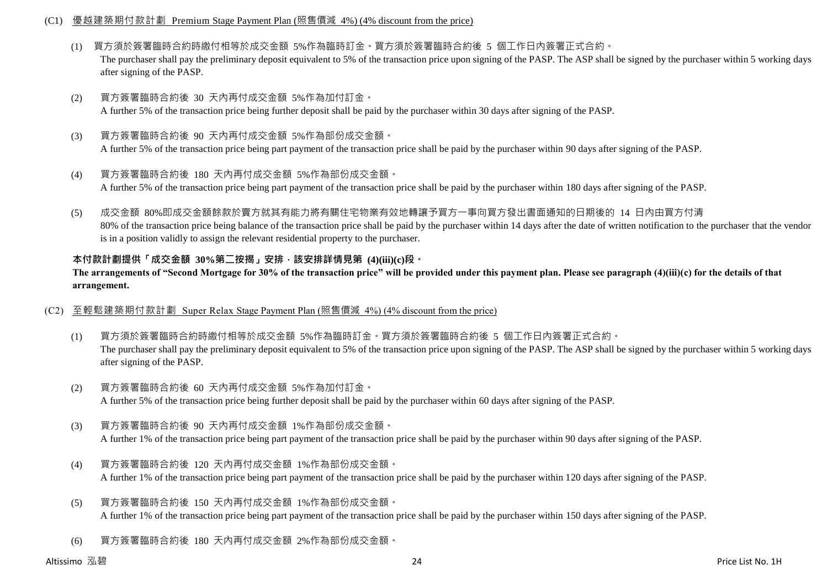# (C1) 優越建築期付款計劃 Premium Stage Payment Plan (照售價減 4%) (4% discount from the price)

- (1) 買方須於簽署臨時合約時繳付相等於成交金額 5%作為臨時訂金。買方須於簽署臨時合約後 5 個工作日內簽署正式合約。 The purchaser shall pay the preliminary deposit equivalent to 5% of the transaction price upon signing of the PASP. The ASP shall be signed by the purchaser within 5 working days after signing of the PASP.
- (2) 買方簽署臨時合約後 30 天內再付成交金額 5%作為加付訂金。 A further 5% of the transaction price being further deposit shall be paid by the purchaser within 30 days after signing of the PASP.
- (3) 買方簽署臨時合約後 90 天內再付成交金額 5%作為部份成交金額。 A further 5% of the transaction price being part payment of the transaction price shall be paid by the purchaser within 90 days after signing of the PASP.
- (4) 買方簽署臨時合約後 180 天內再付成交金額 5%作為部份成交金額。 A further 5% of the transaction price being part payment of the transaction price shall be paid by the purchaser within 180 days after signing of the PASP.
- (5) 成交金額 80%即成交金額餘款於賣方就其有能力將有關住宅物業有效地轉讓予買方一事向買方發出書面通知的日期後的 14 日內由買方付清 80% of the transaction price being balance of the transaction price shall be paid by the purchaser within 14 days after the date of written notification to the purchaser that the vendor is in a position validly to assign the relevant residential property to the purchaser.

# **本付款計劃提供「成交金額 30%第二按揭」安排,該安排詳情見第 (4)(iii)(c)段。**

**The arrangements of "Second Mortgage for 30% of the transaction price" will be provided under this payment plan. Please see paragraph (4)(iii)(c) for the details of that arrangement.**

### (C2) 至輕鬆建築期付款計劃 Super Relax Stage Payment Plan (照售價減 4%) (4% discount from the price)

- (1) 買方須於簽署臨時合約時繳付相等於成交金額 5%作為臨時訂金。買方須於簽署臨時合約後 5 個工作日內簽署正式合約。 The purchaser shall pay the preliminary deposit equivalent to 5% of the transaction price upon signing of the PASP. The ASP shall be signed by the purchaser within 5 working days after signing of the PASP.
- (2) 買方簽署臨時合約後 60 天內再付成交金額 5%作為加付訂金。 A further 5% of the transaction price being further deposit shall be paid by the purchaser within 60 days after signing of the PASP.
- (3) 買方簽署臨時合約後 90 天內再付成交金額 1%作為部份成交金額。 A further 1% of the transaction price being part payment of the transaction price shall be paid by the purchaser within 90 days after signing of the PASP.
- (4) 買方簽署臨時合約後 120 天內再付成交金額 1%作為部份成交金額。 A further 1% of the transaction price being part payment of the transaction price shall be paid by the purchaser within 120 days after signing of the PASP.
- (5) 買方簽署臨時合約後 150 天內再付成交金額 1%作為部份成交金額。 A further 1% of the transaction price being part payment of the transaction price shall be paid by the purchaser within 150 days after signing of the PASP.
- (6) 買方簽署臨時合約後 180 天內再付成交金額 2%作為部份成交金額。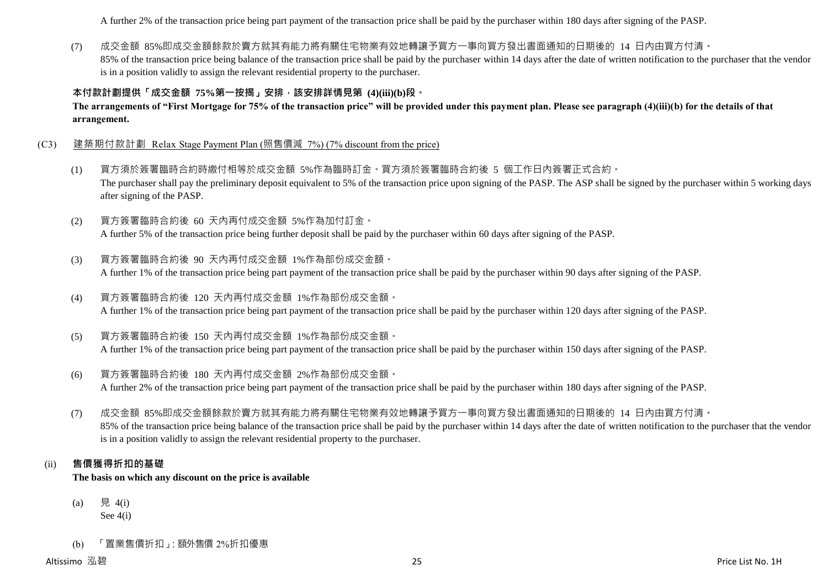A further 2% of the transaction price being part payment of the transaction price shall be paid by the purchaser within 180 days after signing of the PASP.

(7) 成交金額 85%即成交金額餘款於賣方就其有能力將有關住宅物業有效地轉讓予買方一事向買方發出書面通知的日期後的 14 日內由買方付清。 85% of the transaction price being balance of the transaction price shall be paid by the purchaser within 14 days after the date of written notification to the purchaser that the vendor is in a position validly to assign the relevant residential property to the purchaser.

# **本付款計劃提供「成交金額 75%第一按揭」安排,該安排詳情見第 (4)(iii)(b)段。**

**The arrangements of "First Mortgage for 75% of the transaction price" will be provided under this payment plan. Please see paragraph (4)(iii)(b) for the details of that arrangement.**

- (C3) 建築期付款計劃 Relax Stage Payment Plan (照售價減 7%) (7% discount from the price)
	- (1) 買方須於簽署臨時合約時繳付相等於成交金額 5%作為臨時訂金。買方須於簽署臨時合約後 5 個工作日內簽署正式合約。 The purchaser shall pay the preliminary deposit equivalent to 5% of the transaction price upon signing of the PASP. The ASP shall be signed by the purchaser within 5 working days after signing of the PASP.
	- (2) 買方簽署臨時合約後 60 天內再付成交金額 5%作為加付訂金。 A further 5% of the transaction price being further deposit shall be paid by the purchaser within 60 days after signing of the PASP.
	- (3) 買方簽署臨時合約後 90 天內再付成交金額 1%作為部份成交金額。 A further 1% of the transaction price being part payment of the transaction price shall be paid by the purchaser within 90 days after signing of the PASP.
	- (4) 買方簽署臨時合約後 120 天內再付成交金額 1%作為部份成交金額。 A further 1% of the transaction price being part payment of the transaction price shall be paid by the purchaser within 120 days after signing of the PASP.
	- (5) 買方簽署臨時合約後 150 天內再付成交金額 1%作為部份成交金額。 A further 1% of the transaction price being part payment of the transaction price shall be paid by the purchaser within 150 days after signing of the PASP.
	- (6) 買方簽署臨時合約後 180 天內再付成交金額 2%作為部份成交金額。 A further 2% of the transaction price being part payment of the transaction price shall be paid by the purchaser within 180 days after signing of the PASP.
	- (7) 成交金額 85%即成交金額餘款於賣方就其有能力將有關住宅物業有效地轉讓予買方一事向買方發出書面通知的日期後的 14 日內由買方付清。 85% of the transaction price being balance of the transaction price shall be paid by the purchaser within 14 days after the date of written notification to the purchaser that the vendor is in a position validly to assign the relevant residential property to the purchaser.

#### (ii) **售價獲得折扣的基礎**

**The basis on which any discount on the price is available**

- (a) 見 4(i) See 4(i)
- (b) 「置業售價折扣」:額外售價 2%折扣優惠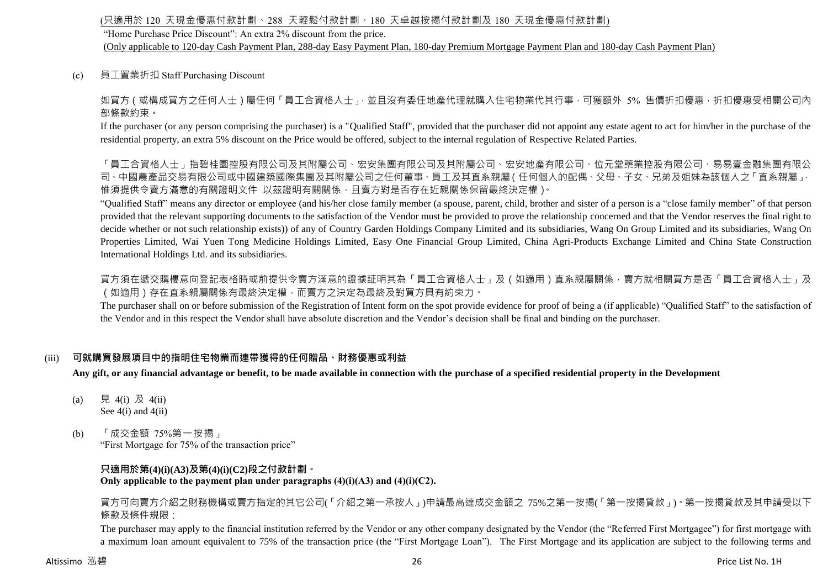# (只適用於 120 天現金優惠付款計劃、288 天輕鬆付款計劃、180 天卓越按揭付款計劃及 180 天現金優惠付款計劃)

"Home Purchase Price Discount": An extra 2% discount from the price.

(Only applicable to 120-day Cash Payment Plan, 288-day Easy Payment Plan, 180-day Premium Mortgage Payment Plan and 180-day Cash Payment Plan)

(c) 員工置業折扣 Staff Purchasing Discount

如買方(或構成買方之任何人士)屬任何「員工合資格人士」,並且沒有委任地產代理就購入住宅物業代其行事,可獲額外 5% 售價折扣優惠,折扣優惠受相關公司內 部條款約束。

If the purchaser (or any person comprising the purchaser) is a "Qualified Staff", provided that the purchaser did not appoint any estate agent to act for him/her in the purchase of the residential property, an extra 5% discount on the Price would be offered, subject to the internal regulation of Respective Related Parties.

「員工合資格人士」指碧桂園控入司及其附屬公司、宏安集團有限公司及其附屬公司、宏安地產有限公司、位元堂藥業控股有限公司、易易壹金融集團有限公 司、中國農產品交易有限公司或中國建築國際集團及其附屬公司之任何董事、員工及其直系親屬(任何個人的配偶、父母、子女、兄弟及姐妹為該個人之「直系親屬」, 惟須提供令賣方滿意的有關證明文件 以茲證明有關關係,且賣方對是否存在近親關係保留最終決定權)。

"Qualified Staff" means any director or employee (and his/her close family member (a spouse, parent, child, brother and sister of a person is a "close family member" of that person provided that the relevant supporting documents to the satisfaction of the Vendor must be provided to prove the relationship concerned and that the Vendor reserves the final right to decide whether or not such relationship exists)) of any of Country Garden Holdings Company Limited and its subsidiaries, Wang On Group Limited and its subsidiaries, Wang On Properties Limited, Wai Yuen Tong Medicine Holdings Limited, Easy One Financial Group Limited, China Agri-Products Exchange Limited and China State Construction International Holdings Ltd. and its subsidiaries.

買方須在遞交購樓意向登記表格時或前提供令賣方滿意的證據証明其為「員工合資格人士」及(如適用)直系親屬關係,賣方就相關買方是否「員工合資格人士」及 (如適用)存在直系親屬關係有最終決定權,而賣方之決定為最終及對買方具有約束力。

The purchaser shall on or before submission of the Registration of Intent form on the spot provide evidence for proof of being a (if applicable) "Qualified Staff" to the satisfaction of the Vendor and in this respect the Vendor shall have absolute discretion and the Vendor's decision shall be final and binding on the purchaser.

# (iii) **可就購買發展項目中的指明住宅物業而連帶獲得的任何贈品、財務優惠或利益**

**Any gift, or any financial advantage or benefit, to be made available in connection with the purchase of a specified residential property in the Development**

- (a) 見 4(i) 及 4(ii) See  $4(i)$  and  $4(ii)$
- (b) 「成交金額 75%第一按揭」 "First Mortgage for 75% of the transaction price"

# **只適用於第(4)(i)(A3)及第(4)(i)(C2)段之付款計劃。**

**Only applicable to the payment plan under paragraphs (4)(i)(A3) and (4)(i)(C2).**

買方可向賣方介紹之財務機構或賣方指定的其它公司(「介紹之第一承按人」)申請最高達成交金額之 75%之第一按揭(「第一按揭貸款」)。第一按揭貸款及其申請受以下 條款及條件規限:

The purchaser may apply to the financial institution referred by the Vendor or any other company designated by the Vendor (the "Referred First Mortgagee") for first mortgage with a maximum loan amount equivalent to 75% of the transaction price (the "First Mortgage Loan"). The First Mortgage and its application are subject to the following terms and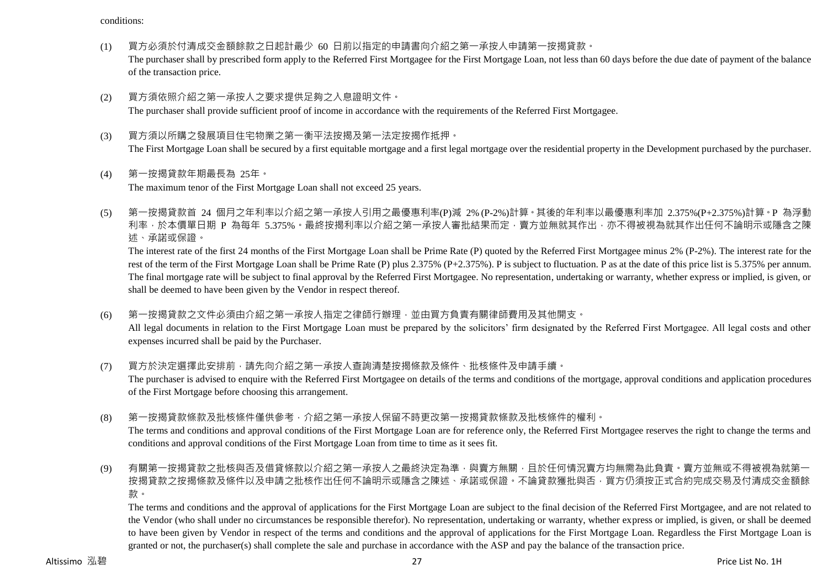conditions:

(1) 買方必須於付清成交金額餘款之日起計最少 60 日前以指定的申請書向介紹之第一承按人申請第一按揭貸款。

The purchaser shall by prescribed form apply to the Referred First Mortgagee for the First Mortgage Loan, not less than 60 days before the due date of payment of the balance of the transaction price.

(2) 買方須依照介紹之第一承按人之要求提供足夠之入息證明文件。

The purchaser shall provide sufficient proof of income in accordance with the requirements of the Referred First Mortgagee.

- (3) 買方須以所購之發展項目住宅物業之第一衡平法按揭及第一法定按揭作抵押。 The First Mortgage Loan shall be secured by a first equitable mortgage and a first legal mortgage over the residential property in the Development purchased by the purchaser.
- (4) 第一按揭貸款年期最長為 25年。 The maximum tenor of the First Mortgage Loan shall not exceed 25 years.
- (5) 第一按揭貸款首 24 個月之年利率以介紹之第一承按人引用之最優惠利率(P)減 2% (P-2%)計算。其後的年利率以最優惠利率加 2.375%(P+2.375%)計算。P 為浮動 利率,於本價單日期 P 為每年 5.375%。最終按揭利率以介紹之第一承按人審批結果而定,賣方並無就其作出,亦不得被視為就其作出任何不論明示或隱含之陳 述、承諾或保證。

The interest rate of the first 24 months of the First Mortgage Loan shall be Prime Rate (P) quoted by the Referred First Mortgagee minus 2% (P-2%). The interest rate for the rest of the term of the First Mortgage Loan shall be Prime Rate (P) plus 2.375% (P+2.375%). P is subject to fluctuation. P as at the date of this price list is 5.375% per annum. The final mortgage rate will be subject to final approval by the Referred First Mortgagee. No representation, undertaking or warranty, whether express or implied, is given, or shall be deemed to have been given by the Vendor in respect thereof.

- (6) 第一按揭貸款之文件必須由介紹之第一承按人指定之律師行辦理,並由買方負責有關律師費用及其他開支。 All legal documents in relation to the First Mortgage Loan must be prepared by the solicitors' firm designated by the Referred First Mortgagee. All legal costs and other expenses incurred shall be paid by the Purchaser.
- (7) 買方於決定選擇此安排前,請先向介紹之第一承按人查詢清楚按揭條款及條件、批核條件及申請手續。 The purchaser is advised to enquire with the Referred First Mortgagee on details of the terms and conditions of the mortgage, approval conditions and application procedures of the First Mortgage before choosing this arrangement.
- (8) 第一按揭貸款條款及批核條件僅供參考,介紹之第一承按人保留不時更改第一按揭貸款條款及批核條件的權利。 The terms and conditions and approval conditions of the First Mortgage Loan are for reference only, the Referred First Mortgagee reserves the right to change the terms and conditions and approval conditions of the First Mortgage Loan from time to time as it sees fit.
- (9) 有關第一按揭貸款之批核與否及借貸條款以介紹之第一承按人之最終決定為準,與賣方無關,且於任何情況賣方均無需為此負責。賣方並無或不得被視為就第-按揭貸款之按揭條款及條件以及申請之批核作出任何不論明示或隱含之陳述、承諾或保證。不論貸款獲批與否,買方仍須按正式合約完成交易及付清成交金額餘 款。

The terms and conditions and the approval of applications for the First Mortgage Loan are subject to the final decision of the Referred First Mortgagee, and are not related to the Vendor (who shall under no circumstances be responsible therefor). No representation, undertaking or warranty, whether express or implied, is given, or shall be deemed to have been given by Vendor in respect of the terms and conditions and the approval of applications for the First Mortgage Loan. Regardless the First Mortgage Loan is granted or not, the purchaser(s) shall complete the sale and purchase in accordance with the ASP and pay the balance of the transaction price.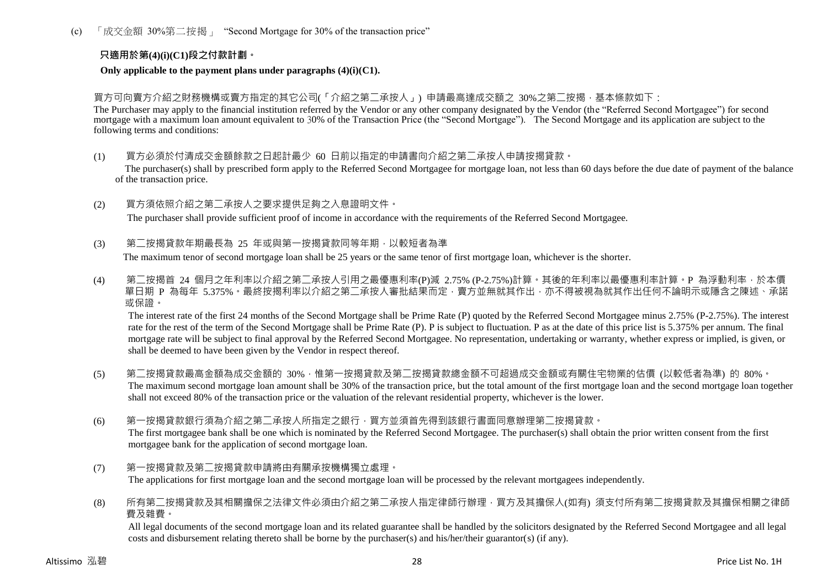(c) 「成交金額 30%第二按揭」 "Second Mortgage for 30% of the transaction price"

# **只適用於第(4)(i)(C1)段之付款計劃。**

#### **Only applicable to the payment plans under paragraphs (4)(i)(C1).**

買方可向賣方介紹之財務機構或賣方指定的其它公司(「介紹之第二承按人」) 申請最高達成交額之 30%之第二按揭,基本條款如下:

The Purchaser may apply to the financial institution referred by the Vendor or any other company designated by the Vendor (the "Referred Second Mortgagee") for second mortgage with a maximum loan amount equivalent to 30% of the Transaction Price (the "Second Mortgage"). The Second Mortgage and its application are subject to the following terms and conditions:

- (1) 買方必須於付清成交金額餘款之日起計最少 60 日前以指定的申請書向介紹之第二承按人申請按揭貸款。 The purchaser(s) shall by prescribed form apply to the Referred Second Mortgagee for mortgage loan, not less than 60 days before the due date of payment of the balance of the transaction price.
- (2) 買方須依照介紹之第二承按人之要求提供足夠之入息證明文件。

The purchaser shall provide sufficient proof of income in accordance with the requirements of the Referred Second Mortgagee.

(3) 第二按揭貸款年期最長為 25 年或與第一按揭貸款同等年期,以較短者為準

The maximum tenor of second mortgage loan shall be 25 years or the same tenor of first mortgage loan, whichever is the shorter.

(4) 第二按揭首 24 個月之年利率以介紹之第二承按人引用之最優惠利率(P)減 2.75% (P-2.75%)計算。其後的年利率以最優惠利率計算。P 為浮動利率,於本價 單日期 P 為每年 5.375%。最終按揭利率以介紹之第<sup>一</sup>承按人審批結果而定,賣方並無就其作出,亦不得被視為就其作出任何不論明示或隱含之陳述、承諾 或保證。

The interest rate of the first 24 months of the Second Mortgage shall be Prime Rate (P) quoted by the Referred Second Mortgagee minus 2.75% (P-2.75%). The interest rate for the rest of the term of the Second Mortgage shall be Prime Rate (P). P is subject to fluctuation. P as at the date of this price list is 5.375% per annum. The final mortgage rate will be subject to final approval by the Referred Second Mortgagee. No representation, undertaking or warranty, whether express or implied, is given, or shall be deemed to have been given by the Vendor in respect thereof.

- (5) 第二按揭貸款最高金額為成交金額的 30%,惟第一按揭貸款及第二按揭貸款總金額不可超過成交金額或有關住宅物業的估價 (以較低者為準) 的 80%。 The maximum second mortgage loan amount shall be 30% of the transaction price, but the total amount of the first mortgage loan and the second mortgage loan together shall not exceed 80% of the transaction price or the valuation of the relevant residential property, whichever is the lower.
- (6) 第一按揭貸款銀行須為介紹之第二承按人所指定之銀行,買方並須首先得到該銀行書面同意辦理第二按揭貸款。 The first mortgagee bank shall be one which is nominated by the Referred Second Mortgagee. The purchaser(s) shall obtain the prior written consent from the first mortgagee bank for the application of second mortgage loan.
- (7) 第一按揭貸款及第二按揭貸款申請將由有關承按機構獨立處理。 The applications for first mortgage loan and the second mortgage loan will be processed by the relevant mortgagees independently.
- (8) 所有第二按揭貸款及其相關擔保之法律文件必須由介紹之第二承按人指定律師行辦理,買方及其擔保人(如有) 須支付所有第二按揭貸款及其擔保相關之律師 費及雜費。

All legal documents of the second mortgage loan and its related guarantee shall be handled by the solicitors designated by the Referred Second Mortgagee and all legal costs and disbursement relating thereto shall be borne by the purchaser(s) and his/her/their guarantor(s) (if any).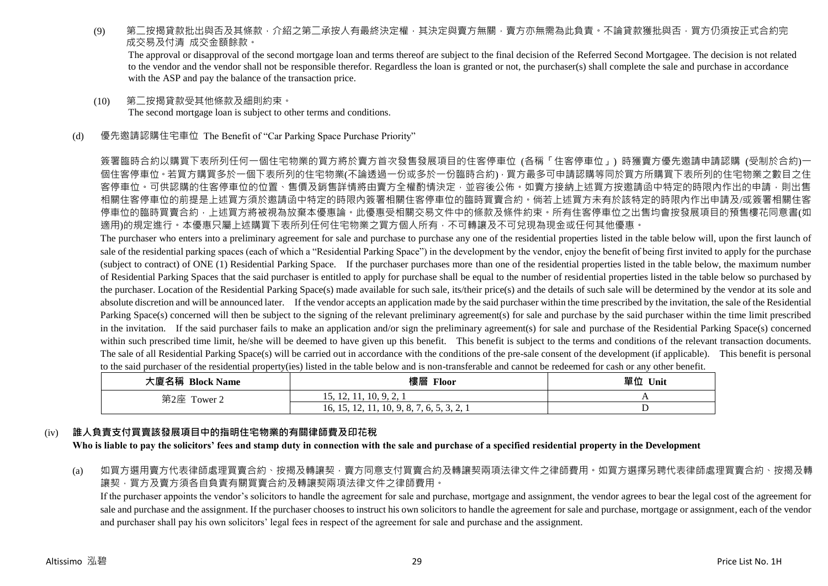(9) 第二按揭貸款批出與否及其條款,介紹之第二承按人有最終決定權,其決定與賣方無關,賣方亦無需為此負責。不論貸款獲批與否,買方仍須按正式合約完 成交易及付清 成交金額餘款。

The approval or disapproval of the second mortgage loan and terms thereof are subject to the final decision of the Referred Second Mortgagee. The decision is not related to the vendor and the vendor shall not be responsible therefor. Regardless the loan is granted or not, the purchaser(s) shall complete the sale and purchase in accordance with the ASP and pay the balance of the transaction price.

- (10) 第二按揭貸款受其他條款及細則約束。 The second mortgage loan is subject to other terms and conditions.
- (d) 優先邀請認購住宅車位 The Benefit of "Car Parking Space Purchase Priority"

簽署臨時合約以購買下表所列任何一個住宅物業的買方將於賣方首次發售發展項目的住客停車位 (各稱「住客停車位」) 時獲賣方優先邀請申請認購 (受制於合約)一 個住客停車位。若買方購買多於一個下表所列的住宅物業(不論透過一份或多於一份臨時合約),買方最多可申請認購等同於買方所購買下表所列的住宅物業之數目之住 客停車位。可供認購的住客停車位的位置、售價及銷售詳情將由賣方全權酌情決定,並容後公佈。如賣方接納上述買方按激請函中特定的時限內作出的申請,則出售 相關住客停車位的前提是上述買方須於邀請函中特定的時限內簽署相關住客停車位的臨時買賣合約。倘若上述買方未有於該特定的時限內作出申請及/或簽署相關住客 停車位的臨時買賣合約,上述買方將被視為放棄本優惠論。此優惠受相關交易文件中的條款及條件約束。所有住客停車位之出售均會按發展項目的預售樓花同意書(如 適用)的規定進行。本優惠只屬上述購買下表所列任何住宅物業之買方個人所有,不可轉讓及不可兌現為現金或任何其他優惠。

The purchaser who enters into a preliminary agreement for sale and purchase to purchase any one of the residential properties listed in the table below will, upon the first launch of sale of the residential parking spaces (each of which a "Residential Parking Space") in the development by the vendor, enjoy the benefit of being first invited to apply for the purchase (subject to contract) of ONE (1) Residential Parking Space. If the purchaser purchases more than one of the residential properties listed in the table below, the maximum number of Residential Parking Spaces that the said purchaser is entitled to apply for purchase shall be equal to the number of residential properties listed in the table below so purchased by the purchaser. Location of the Residential Parking Space(s) made available for such sale, its/their price(s) and the details of such sale will be determined by the vendor at its sole and absolute discretion and will be announced later. If the vendor accepts an application made by the said purchaser within the time prescribed by the invitation, the sale of the Residential Parking Space(s) concerned will then be subject to the signing of the relevant preliminary agreement(s) for sale and purchase by the said purchaser within the time limit prescribed in the invitation. If the said purchaser fails to make an application and/or sign the preliminary agreement(s) for sale and purchase of the Residential Parking Space(s) concerned within such prescribed time limit, he/she will be deemed to have given up this benefit. This benefit is subject to the terms and conditions of the relevant transaction documents. The sale of all Residential Parking Space(s) will be carried out in accordance with the conditions of the pre-sale consent of the development (if applicable). This benefit is personal to the said purchaser of the residential property(ies) listed in the table below and is non-transferable and cannot be redeemed for cash or any other benefit.

| 大廈名稱 Block Name | 樓層 Floor                                      | 單位 Unit |
|-----------------|-----------------------------------------------|---------|
| 第2座 Tower 2     | 15, 12, 11, 10, 9, 2, 1                       |         |
|                 | 10, 9, 8, 7, 6, 5, 3, 2, 1<br>16, 15, 12, 11, |         |

#### (iv) **誰人負責支付買賣該發展項目中的指明住宅物業的有關律師費及印花稅**

**Who is liable to pay the solicitors' fees and stamp duty in connection with the sale and purchase of a specified residential property in the Development**

(a) 如買方選用賣方代表律師處理買賣合約、按揭及轉讓契,賣方同意支付買賣合約及轉讓契兩項法律文件之律師費用。如買方選擇另聘代表律師處理買賣合約、按揭及轉 讓契,買方及賣方須各自負責有關買賣合約及轉讓契兩項法律文件之律師費用。

If the purchaser appoints the vendor's solicitors to handle the agreement for sale and purchase, mortgage and assignment, the vendor agrees to bear the legal cost of the agreement for sale and purchase and the assignment. If the purchaser chooses to instruct his own solicitors to handle the agreement for sale and purchase, mortgage or assignment, each of the vendor and purchaser shall pay his own solicitors' legal fees in respect of the agreement for sale and purchase and the assignment.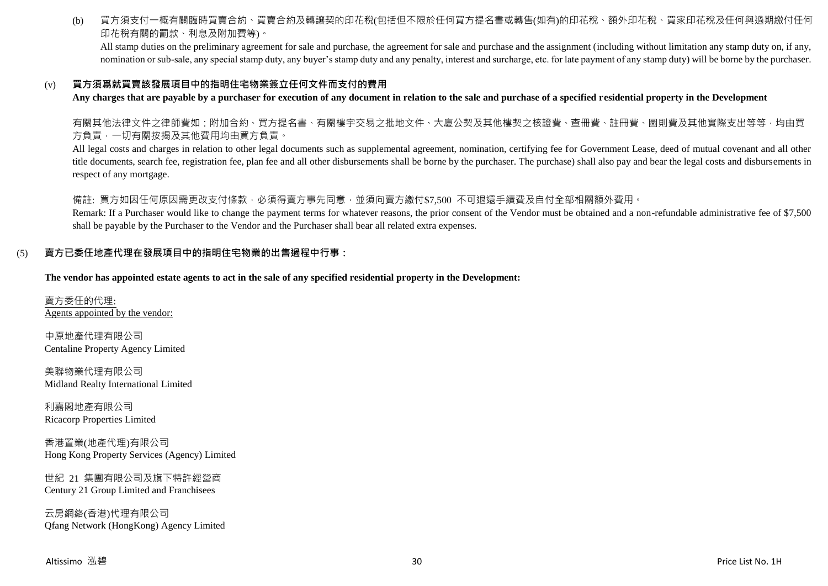(b) 買方須支付一概有關臨時買賣合約、買賣合約及轉讓契的印花稅(包括但不限於任何買方提名書或轉售(如有)的印花稅、額外印花稅、買家印花稅及任何與過期繳付任何 印花稅有關的罰款、利息及附加費等)。

All stamp duties on the preliminary agreement for sale and purchase, the agreement for sale and purchase and the assignment (including without limitation any stamp duty on, if any, nomination or sub-sale, any special stamp duty, any buyer's stamp duty and any penalty, interest and surcharge, etc. for late payment of any stamp duty) will be borne by the purchaser.

#### (v) **買方須爲就買賣該發展項目中的指明住宅物業簽立任何文件而支付的費用**

**Any charges that are payable by a purchaser for execution of any document in relation to the sale and purchase of a specified residential property in the Development**

有關其他法律文件之律師費如:附加合約、買方提名書、有關樓宇交易之批地文件、大廈公契及其他樓契之核證費、查冊費、註冊費、圖則費及其他實際支出等等,均由買 方負責,一切有關按揭及其他費用均由買方負責。

All legal costs and charges in relation to other legal documents such as supplemental agreement, nomination, certifying fee for Government Lease, deed of mutual covenant and all other title documents, search fee, registration fee, plan fee and all other disbursements shall be borne by the purchaser. The purchase) shall also pay and bear the legal costs and disbursements in respect of any mortgage.

### 備註: 買方如因任何原因需更改支付條款,必須得賣方事先同意,並須向賣方繳付\$7,500 不可退還手續費及自付全部相關額外費用。

Remark: If a Purchaser would like to change the payment terms for whatever reasons, the prior consent of the Vendor must be obtained and a non-refundable administrative fee of \$7,500 shall be payable by the Purchaser to the Vendor and the Purchaser shall bear all related extra expenses.

#### (5) **賣方已委任地產代理在發展項目中的指明住宅物業的出售過程中行事:**

**The vendor has appointed estate agents to act in the sale of any specified residential property in the Development:**

賣方委任的代理: Agents appointed by the vendor:

中原地產代理有限公司 Centaline Property Agency Limited

美聯物業代理有限公司 Midland Realty International Limited

利嘉閣地產有限公司 Ricacorp Properties Limited

香港置業(地產代理)有限公司 Hong Kong Property Services (Agency) Limited

世紀 21 集團有限公司及旗下特許經營商 Century 21 Group Limited and Franchisees

云房網絡(香港)代理有限公司 Qfang Network (HongKong) Agency Limited